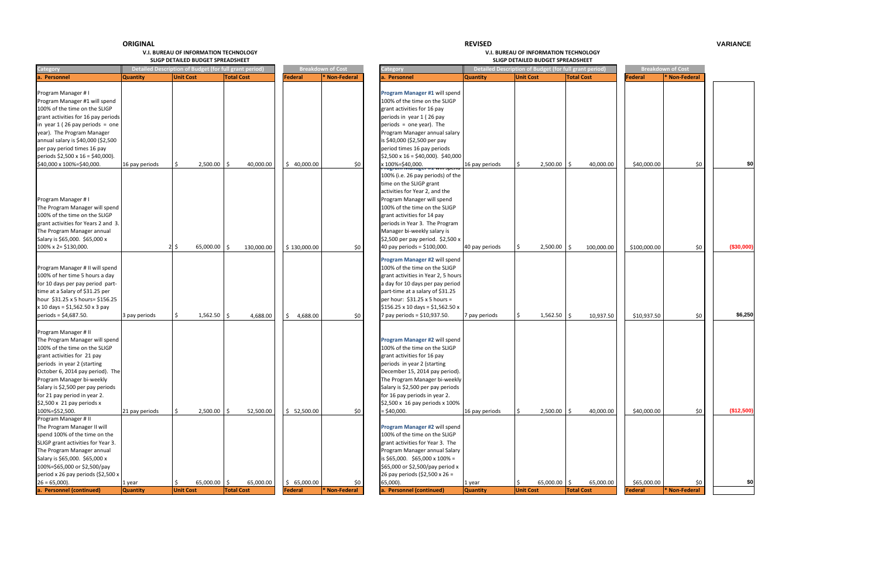**REVISED**

|                                        |                 | SLIGP DETAILED BUDGET SPREADSHEET                      |                   |                |                          |                                                        |                 | SLIGP DETAILED BUDGET SPREADSHEET                      |                   |                |                          |            |
|----------------------------------------|-----------------|--------------------------------------------------------|-------------------|----------------|--------------------------|--------------------------------------------------------|-----------------|--------------------------------------------------------|-------------------|----------------|--------------------------|------------|
| Category                               |                 | Detailed Description of Budget (for full grant period) |                   |                | <b>Breakdown of Cost</b> | ategory:                                               |                 | Detailed Description of Budget (for full grant period) |                   |                | <b>Breakdown of Cost</b> |            |
| a. Personnel                           | <b>Quantity</b> | <b>Unit Cost</b>                                       | <b>Total Cost</b> | Federal        | * Non-Federal            | <b>Personnel</b>                                       | <b>Quantity</b> | <b>Unit Cost</b>                                       | <b>Total Cost</b> | <b>Federal</b> | <b>Non-Federal</b>       |            |
|                                        |                 |                                                        |                   |                |                          |                                                        |                 |                                                        |                   |                |                          |            |
| Program Manager # I                    |                 |                                                        |                   |                |                          | Program Manager #1 will spend                          |                 |                                                        |                   |                |                          |            |
| Program Manager #1 will spend          |                 |                                                        |                   |                |                          | 100% of the time on the SLIGP                          |                 |                                                        |                   |                |                          |            |
| 100% of the time on the SLIGP          |                 |                                                        |                   |                |                          | grant activities for 16 pay                            |                 |                                                        |                   |                |                          |            |
| grant activities for 16 pay periods    |                 |                                                        |                   |                |                          | periods in year 1 (26 pay                              |                 |                                                        |                   |                |                          |            |
| in year $1(26$ pay periods = one       |                 |                                                        |                   |                |                          | periods = one year). The                               |                 |                                                        |                   |                |                          |            |
|                                        |                 |                                                        |                   |                |                          |                                                        |                 |                                                        |                   |                |                          |            |
| year). The Program Manager             |                 |                                                        |                   |                |                          | Program Manager annual salary                          |                 |                                                        |                   |                |                          |            |
| annual salary is \$40,000 (\$2,500     |                 |                                                        |                   |                |                          | is \$40,000 (\$2,500 per pay                           |                 |                                                        |                   |                |                          |            |
| per pay period times 16 pay            |                 |                                                        |                   |                |                          | period times 16 pay periods                            |                 |                                                        |                   |                |                          |            |
| periods $$2,500 \times 16 = $40,000$ . |                 |                                                        |                   |                |                          | $$2,500 \times 16 = $40,000$ . \$40,000                |                 |                                                        |                   |                |                          |            |
| \$40,000 x 100%=\$40,000.              | 16 pay periods  | 2,500.00                                               | Ŝ.<br>40,000.00   | \$40,000.00    | \$0                      | x 100%=\$40,000.                                       | 16 pay periods  | 2,500.00                                               | 40,000.00         | \$40,000.00    | \$0                      | \$0        |
|                                        |                 |                                                        |                   |                |                          | 100% (i.e. 26 pay periods) of the                      |                 |                                                        |                   |                |                          |            |
|                                        |                 |                                                        |                   |                |                          |                                                        |                 |                                                        |                   |                |                          |            |
|                                        |                 |                                                        |                   |                |                          | time on the SLIGP grant                                |                 |                                                        |                   |                |                          |            |
|                                        |                 |                                                        |                   |                |                          | activities for Year 2, and the                         |                 |                                                        |                   |                |                          |            |
| Program Manager # I                    |                 |                                                        |                   |                |                          | Program Manager will spend                             |                 |                                                        |                   |                |                          |            |
| The Program Manager will spend         |                 |                                                        |                   |                |                          | 100% of the time on the SLIGP                          |                 |                                                        |                   |                |                          |            |
| 100% of the time on the SLIGP          |                 |                                                        |                   |                |                          | grant activities for 14 pay                            |                 |                                                        |                   |                |                          |            |
| grant activities for Years 2 and 3.    |                 |                                                        |                   |                |                          | periods in Year 3. The Program                         |                 |                                                        |                   |                |                          |            |
| The Program Manager annual             |                 |                                                        |                   |                |                          | Manager bi-weekly salary is                            |                 |                                                        |                   |                |                          |            |
| Salary is \$65,000. \$65,000 x         |                 |                                                        |                   |                |                          | \$2,500 per pay period. \$2,500 x                      |                 |                                                        |                   |                |                          |            |
| 100% x 2= \$130,000.                   |                 | 65,000.00<br>$2\sqrt{5}$                               | \$<br>130,000.00  | \$130,000.00   | \$0                      | 40 pay periods = \$100,000.                            | 40 pay periods  | 2,500.00                                               | Ŝ.<br>100,000.00  | \$100,000.00   | \$0                      | (\$30,000) |
|                                        |                 |                                                        |                   |                |                          |                                                        |                 |                                                        |                   |                |                          |            |
|                                        |                 |                                                        |                   |                |                          | Program Manager #2 will spend                          |                 |                                                        |                   |                |                          |            |
| Program Manager # II will spend        |                 |                                                        |                   |                |                          | 100% of the time on the SLIGP                          |                 |                                                        |                   |                |                          |            |
| 100% of her time 5 hours a day         |                 |                                                        |                   |                |                          | grant activities in Year 2, 5 hours                    |                 |                                                        |                   |                |                          |            |
| for 10 days per pay period part-       |                 |                                                        |                   |                |                          | a day for 10 days per pay period                       |                 |                                                        |                   |                |                          |            |
| time at a Salary of \$31.25 per        |                 |                                                        |                   |                |                          | part-time at a salary of \$31.25                       |                 |                                                        |                   |                |                          |            |
| hour \$31.25 x 5 hours= \$156.25       |                 |                                                        |                   |                |                          | per hour: $$31.25 \times 5$ hours =                    |                 |                                                        |                   |                |                          |            |
| x 10 days = \$1,562.50 x 3 pay         |                 |                                                        |                   |                |                          | $$156.25 \times 10 \text{ days} = $1,562.50 \text{ x}$ |                 |                                                        |                   |                |                          |            |
| periods = \$4,687.50.                  |                 | 1,562.50                                               | Ŝ.                |                |                          |                                                        |                 |                                                        | l \$              |                |                          | \$6,250    |
|                                        | 3 pay periods   |                                                        | 4,688.00          | 4,688.00<br>S. | \$0                      | 7 pay periods = \$10,937.50.                           | 7 pay periods   | 1,562.50                                               | 10,937.50         | \$10,937.50    | \$0                      |            |
|                                        |                 |                                                        |                   |                |                          |                                                        |                 |                                                        |                   |                |                          |            |
| Program Manager # II                   |                 |                                                        |                   |                |                          |                                                        |                 |                                                        |                   |                |                          |            |
| The Program Manager will spend         |                 |                                                        |                   |                |                          | Program Manager #2 will spend                          |                 |                                                        |                   |                |                          |            |
| 100% of the time on the SLIGP          |                 |                                                        |                   |                |                          | 100% of the time on the SLIGP                          |                 |                                                        |                   |                |                          |            |
| grant activities for 21 pay            |                 |                                                        |                   |                |                          | grant activities for 16 pay                            |                 |                                                        |                   |                |                          |            |
| periods in year 2 (starting            |                 |                                                        |                   |                |                          | periods in year 2 (starting                            |                 |                                                        |                   |                |                          |            |
| October 6, 2014 pay period). The       |                 |                                                        |                   |                |                          | December 15, 2014 pay period).                         |                 |                                                        |                   |                |                          |            |
| Program Manager bi-weekly              |                 |                                                        |                   |                |                          | The Program Manager bi-weekly                          |                 |                                                        |                   |                |                          |            |
| Salary is \$2,500 per pay periods      |                 |                                                        |                   |                |                          | Salary is \$2,500 per pay periods                      |                 |                                                        |                   |                |                          |            |
| for 21 pay period in year 2.           |                 |                                                        |                   |                |                          | for 16 pay periods in year 2.                          |                 |                                                        |                   |                |                          |            |
| $$2,500 \times 21$ pay periods x       |                 |                                                        |                   |                |                          | \$2,500 x 16 pay periods x 100%                        |                 |                                                        |                   |                |                          |            |
| 100%=\$52,500.                         | 21 pay periods  | $2,500.00$ \$                                          | 52,500.00         | \$ 52,500.00   | \$0                      | $=$ \$40,000.                                          | 16 pay periods  | 2,500.00                                               | 40,000.00<br>l \$ | \$40,000.00    | \$0                      | (\$12,500) |
| Program Manager # II                   |                 |                                                        |                   |                |                          |                                                        |                 |                                                        |                   |                |                          |            |
| The Program Manager II will            |                 |                                                        |                   |                |                          | Program Manager #2 will spend                          |                 |                                                        |                   |                |                          |            |
|                                        |                 |                                                        |                   |                |                          |                                                        |                 |                                                        |                   |                |                          |            |
| spend 100% of the time on the          |                 |                                                        |                   |                |                          | 100% of the time on the SLIGP                          |                 |                                                        |                   |                |                          |            |
| SLIGP grant activities for Year 3.     |                 |                                                        |                   |                |                          | grant activities for Year 3. The                       |                 |                                                        |                   |                |                          |            |
| The Program Manager annual             |                 |                                                        |                   |                |                          | Program Manager annual Salary                          |                 |                                                        |                   |                |                          |            |
| Salary is \$65,000. \$65,000 x         |                 |                                                        |                   |                |                          | is \$65,000. \$65,000 x 100% =                         |                 |                                                        |                   |                |                          |            |
| 100%=\$65,000 or \$2,500/pay           |                 |                                                        |                   |                |                          | \$65,000 or \$2,500/pay period x                       |                 |                                                        |                   |                |                          |            |
| period x 26 pay periods (\$2,500 x     |                 |                                                        |                   |                |                          | 26 pay periods (\$2,500 x 26 =                         |                 |                                                        |                   |                |                          |            |
| $26 = 65,000$ .                        | 1 year          | 65,000.00 \$                                           | 65,000.00         | \$65,000.00    | \$0                      | 65,000).                                               | 1 year          | 65,000.00 \$<br>l Ş                                    | 65,000.00         | \$65,000.00    | \$0                      | \$0        |
| a. Personnel (continued)               | <b>Quantity</b> | <b>Unit Cost</b>                                       | <b>Total Cost</b> | Federal        | * Non-Federal            | a. Personnel (continued)                               | <b>Quantity</b> | <b>Unit Cost</b>                                       | <b>Total Cost</b> | Federal        | <b>*</b> Non-Federal     |            |

#### **REVISED VARIANCE**



#### **V.I. BUREAU OF INFORMATION**

 **TECHNOLOGY V.I. BUREAU OF INFORMATION TECHNOLOGY BUDGET SPREADSHEET SLIGP DETAILED BUDGET SPREADSHEET**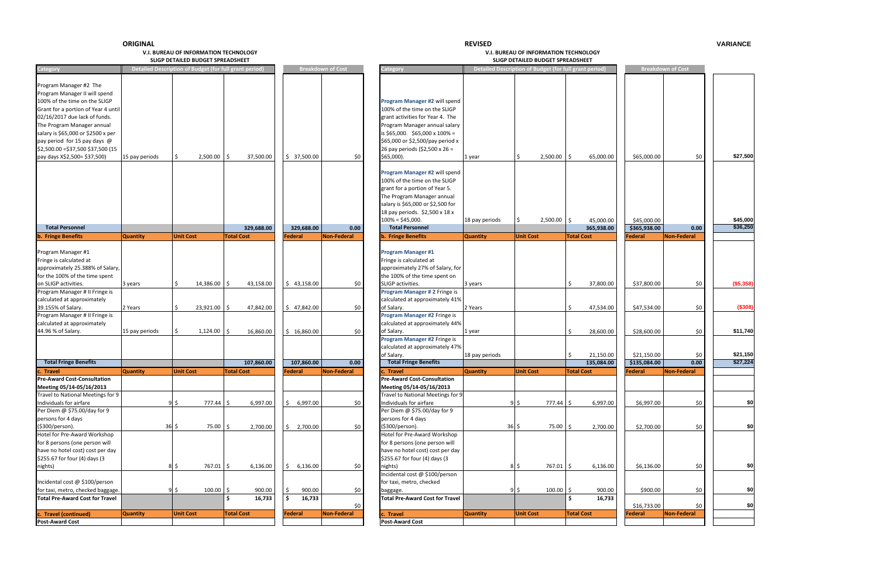**REVISED**

#### **V.I. BUREAU OF INFORMATIONSLIGP DETAILED**

 **TECHNOLOGY V.I. BUREAU OF INFORMATION TECHNOLOGY BUDGET SPREADSHEET SLIGP DETAILED BUDGET SPREADSHEET**

|                 |                  |                | d Description of Budget (for full grant period) |                              | <b>Breakdown of Cost</b> | Category                                                                                                                                                                                                                                                                                                                                                      |                          | Detailed Description of Budget (for full grant period) |                   |                         |                             | <b>Breakdown of Cost</b> |                      |
|-----------------|------------------|----------------|-------------------------------------------------|------------------------------|--------------------------|---------------------------------------------------------------------------------------------------------------------------------------------------------------------------------------------------------------------------------------------------------------------------------------------------------------------------------------------------------------|--------------------------|--------------------------------------------------------|-------------------|-------------------------|-----------------------------|--------------------------|----------------------|
| ods             | \$               | 2,500.00       | l \$<br>37,500.00                               | \$37,500.00                  | \$0                      | Program Manager #2 will spend<br>100% of the time on the SLIGP<br>grant activities for Year 4. The<br>Program Manager annual salary<br>is \$65,000. \$65,000 x 100% =<br>\$65,000 or \$2,500/pay period x<br>26 pay periods (\$2,500 x 26 =<br>\$65,000).<br>Program Manager #2 will spend<br>100% of the time on the SLIGP<br>grant for a portion of Year 5. | 1 year                   | $2,500.00$ \$<br>\$                                    |                   | 65,000.00               | \$65,000.00                 | \$0                      | \$27,500             |
|                 |                  |                | 329,688.00                                      | 329,688.00                   | 0.00                     | The Program Manager annual<br>salary is \$65,000 or \$2,500 for<br>18 pay periods. \$2,500 x 18 x<br>$100\% = $45,000.$<br><b>Total Personnel</b>                                                                                                                                                                                                             | 18 pay periods           | $2,500.00$ \$<br>\$                                    |                   | 45,000.00<br>365,938.00 | \$45,000.00<br>\$365,938.00 | 0.00                     | \$45,000<br>\$36,250 |
|                 | <b>Unit Cost</b> |                | <b>Total Cost</b>                               | <b>Federal</b>               | Non-Federal              | <b>b.</b> Fringe Benefits                                                                                                                                                                                                                                                                                                                                     | <b>Quantity</b>          | <b>Unit Cost</b>                                       | <b>Total Cost</b> |                         | Federal                     | Non-Federal              |                      |
|                 | \$               | $14,386.00$ \$ | 43,158.00                                       | \$43,158.00                  | \$0                      | <b>Program Manager #1</b><br>Fringe is calculated at<br>approximately 27% of Salary, for<br>the 100% of the time spent on<br>SLIGP activities.<br>Program Manager # 2 Fringe is                                                                                                                                                                               | 3 years                  |                                                        | \$                | 37,800.00               | \$37,800.00                 | \$0                      | (\$5,358)            |
|                 | \$               | 23,921.00 \$   | 47,842.00                                       | \$47,842.00                  | \$0                      | calculated at approximately 41%<br>of Salary.<br>Program Manager #2 Fringe is<br>calculated at approximately 44%                                                                                                                                                                                                                                              | 2 Years                  |                                                        | \$                | 47,534.00               | \$47,534.00                 | \$0                      | (\$308)              |
| ods             | \$               | $1,124.00$ \$  | 16,860.00                                       | \$16,860.00                  | \$0                      | of Salary.<br>Program Manager #2 Fringe is<br>calculated at approximately 47%<br>of Salary.                                                                                                                                                                                                                                                                   | 1 year<br>18 pay periods |                                                        | \$<br>\$          | 28,600.00<br>21,150.00  | \$28,600.00<br>\$21,150.00  | \$0<br>\$0               | \$11,740<br>\$21,150 |
|                 |                  |                | 107,860.00                                      | 107,860.00                   | 0.00                     | <b>Total Fringe Benefits</b>                                                                                                                                                                                                                                                                                                                                  |                          |                                                        |                   | 135,084.00              | \$135,084.00                | 0.00                     | \$27,224             |
|                 | <b>Unit Cost</b> |                | <b>Total Cost</b>                               | Federal                      | Non-Federal              | : Travel<br><b>Pre-Award Cost-Consultation</b><br>Meeting 05/14-05/16/2013<br>Travel to National Meetings for 9                                                                                                                                                                                                                                               | <b>Quantity</b>          | <b>Unit Cost</b>                                       | <b>Total Cost</b> |                         | <b>Federal</b>              | Non-Federal              |                      |
|                 | 95               | $777.44$ \$    | 6,997.00                                        | 6,997.00                     | \$0                      | Individuals for airfare<br>Per Diem @ \$75.00/day for 9<br>persons for 4 days                                                                                                                                                                                                                                                                                 |                          | $9\sqrt{5}$                                            | $777.44$ \$       | 6,997.00                | \$6,997.00                  | \$0                      | \$0                  |
| $36\frac{1}{2}$ |                  | 75.00 \$       | 2,700.00                                        | 2,700.00                     | \$0                      | (\$300/person).<br>Hotel for Pre-Award Workshop<br>for 8 persons (one person will<br>have no hotel cost) cost per day<br>\$255.67 for four (4) days (3                                                                                                                                                                                                        |                          | $36\overline{\smash{\circ}}$                           | 75.00 \$          | 2,700.00                | \$2,700.00                  | \$0                      | \$0                  |
|                 | $8\overline{5}$  | 767.01 \$      | 6,136.00                                        | 6,136.00<br>\$               | \$0                      | nights)<br>Incidental cost @ \$100/person<br>for taxi, metro, checked                                                                                                                                                                                                                                                                                         |                          | $8\overline{5}$                                        | 767.01 \$         | 6,136.00                | \$6,136.00                  | \$0                      | \$0                  |
|                 | $9\frac{1}{2}$   | $100.00$ \$    | 900.00<br>16,733<br>Ŝ.                          | 900.00<br>\$<br>16,733<br>\$ | $$0$$                    | baggage.<br><b>Total Pre-Award Cost for Travel</b>                                                                                                                                                                                                                                                                                                            |                          | $9\overline{\phantom{0}}$                              | $100.00$ \$<br>\$ | 900.00<br>16,733        | \$900.00                    | \$0                      | \$0                  |
|                 | <b>Unit Cost</b> |                | <b>Total Cost</b>                               | <b>Federal</b>               | \$0<br>Non-Federal       | c. Travel                                                                                                                                                                                                                                                                                                                                                     | <b>Quantity</b>          | <b>Unit Cost</b>                                       | <b>Total Cost</b> |                         | \$16,733.00<br>Federal      | \$0<br>Non-Federal       | \$0                  |
|                 |                  |                |                                                 |                              |                          | <b>Post-Award Cost</b>                                                                                                                                                                                                                                                                                                                                        |                          |                                                        |                   |                         |                             |                          |                      |

#### **REVISED VARIANCE**

| Program Manager #2 The<br>Program Manager II will spend<br>100% of the time on the SLIGP<br>Program Manager #2 will spend<br>100% of the time on the SLIGP<br>Grant for a portion of Year 4 until<br>grant activities for Year 4. The<br>The Program Manager annual<br>Program Manager annual salary<br>is $$65,000$ . $$65,000 \times 100\% =$<br>\$65,000 or \$2,500/pay period x<br>26 pay periods (\$2,500 x 26 =<br>\$0<br>\$0<br>$2,500.00$ \$<br>37,500.00<br>\$37,500.00<br>\$65,000).<br>$2,500.00$ \$<br>65,000.00<br>\$65,000.00<br>15 pay periods<br>1 year<br>Program Manager #2 will spend<br>100% of the time on the SLIGP<br>grant for a portion of Year 5.<br>The Program Manager annual<br>salary is \$65,000 or \$2,500 for<br>18 pay periods. \$2,500 x 18 x<br>$100\% = $45,000.$<br>2,500.00<br>\$45,000.00<br>45,000.00<br>18 pay periods<br>l \$<br><b>Total Personnel</b><br><b>Total Personnel</b><br>\$365,938.00<br>329.688.00<br>0.00<br>365,938.00<br>0.00<br>329,688.00<br>Non-Federal<br><b>Unit Cost</b><br><b>Unit Cost</b><br><b>Total Cost</b><br><b>Federal</b><br><b>Total Cost</b><br><b>Non-Federal</b><br><b>Quantity</b><br><b>b.</b> Fringe Benefits<br><b>Quantity</b><br>Federal<br><b>b.</b> Fringe Benefits<br><b>Program Manager #1</b><br>Fringe is calculated at<br>approximately 25.388% of Salary,<br>approximately 27% of Salary, for<br>the 100% of the time spent on<br>for the 100% of the time spent<br>14,386.00 \$<br>\$0<br>\$37,800.00<br>\$0<br>on SLIGP activities.<br>43,158.00<br>\$43,158.00<br>SLIGP activities.<br>37,800.00<br>3 years<br>3 years<br>Program Manager # 2 Fringe is<br>Program Manager # II Fringe is<br>calculated at approximately<br>calculated at approximately 41%<br>2 Years<br>23,921.00 \$<br>47,842.00<br>\$47,842.00<br>\$0<br>2 Years<br>47,534.00<br>\$47,534.00<br>\$0<br>of Salary.<br>Program Manager #2 Fringe is<br>Program Manager # II Fringe is<br>calculated at approximately<br>calculated at approximately 44%<br>16,860.00<br>\$16,860.00<br>\$0<br>28,600.00<br>\$28,600.00<br>\$0<br>$1,124.00$ \$<br>of Salary.<br>15 pay periods<br>1 year<br>Program Manager #2 Fringe is<br>calculated at approximately 47%<br>\$21,150<br>of Salary.<br>18 pay periods<br>\$21,150.00<br>\$0<br>21,150.00<br><b>Total Fringe Benefits</b><br><b>Total Fringe Benefits</b><br>0.00<br>107,860.00<br>107,860.00<br>0.00<br>135,084.00<br>\$135,084.00<br>Non-Federal<br><b>Quantity</b><br><b>Unit Cost</b><br>Federal<br><b>Quantity</b><br><b>Unit Cost</b><br>Non-Federal<br>Travel<br><b>Total Cost</b><br>Travel<br><b>Total Cost</b><br>Federal<br><b>Pre-Award Cost-Consultation</b><br><b>Pre-Award Cost-Consultation</b><br>Meeting 05/14-05/16/2013<br>Travel to National Meetings for 9<br>Travel to National Meetings for 9<br>$\frac{1}{2}$<br>\$0<br>777.44 \$<br>6,997.00<br>6,997.00<br>\$0<br>Individuals for airfare<br>6,997.00<br>\$6,997.00<br>Individuals for airfare<br>9\$<br>777.44 \$<br>S.<br>Per Diem @ \$75.00/day for 9<br>Per Diem @ \$75.00/day for 9<br>persons for 4 days<br>persons for 4 days<br>$36\frac{1}{2}$<br>75.00 \$<br>\$0<br>(\$300/person).<br>\$0<br>(\$300/person).<br>2,700.00<br>\$2,700.00<br>$36 \,$ \$<br>75.00 \$<br>2,700.00<br>\$2,700.00<br>Hotel for Pre-Award Workshop<br>Hotel for Pre-Award Workshop<br>for 8 persons (one person will<br>for 8 persons (one person will<br>have no hotel cost) cost per day<br>have no hotel cost) cost per day<br>\$255.67 for four (4) days (3<br>$8\,$ \$<br>767.01 \$<br>6,136.00<br>6,136.00<br>\$0<br>nights)<br>767.01 \$<br>\$0<br>8\$<br>6,136.00<br>\$6,136.00<br>nights)<br>S.<br>Incidental cost @ \$100/person<br>Incidental cost @ \$100/person<br>for taxi, metro, checked<br>$9\overline{\phantom{0}}$<br>$100.00$ \$<br>900.00<br>900.00<br>\$0<br>$100.00$ \$<br>\$0<br>9 \$<br>900.00<br>\$900.00<br>baggage.<br>16,733<br>16,733<br>۱\$.<br>۱Ś.<br><b>Total Pre-Award Cost for Travel</b><br>16,733<br>Ŝ<br>\$0<br>\$0\$<br>\$0\$<br>\$16,733.00<br>c. Travel (continued)<br><b>Quantity</b><br><b>Unit Cost</b><br>Non-Federal<br>c. Travel<br><b>Quantity</b><br><b>Unit Cost</b><br><b>Total Cost</b><br>Non-Federal<br><b>Total Cost</b><br>Federal<br>Federal | Category                                                                                                                                                                  | Detailed Description of Budget (for full grant period) |  |  |  | <b>Breakdown of Cost</b> | Category               | Detailed Description of Budget (for full grant period) |  |  | <b>Breakdown of Cost</b> |                      |
|----------------------------------------------------------------------------------------------------------------------------------------------------------------------------------------------------------------------------------------------------------------------------------------------------------------------------------------------------------------------------------------------------------------------------------------------------------------------------------------------------------------------------------------------------------------------------------------------------------------------------------------------------------------------------------------------------------------------------------------------------------------------------------------------------------------------------------------------------------------------------------------------------------------------------------------------------------------------------------------------------------------------------------------------------------------------------------------------------------------------------------------------------------------------------------------------------------------------------------------------------------------------------------------------------------------------------------------------------------------------------------------------------------------------------------------------------------------------------------------------------------------------------------------------------------------------------------------------------------------------------------------------------------------------------------------------------------------------------------------------------------------------------------------------------------------------------------------------------------------------------------------------------------------------------------------------------------------------------------------------------------------------------------------------------------------------------------------------------------------------------------------------------------------------------------------------------------------------------------------------------------------------------------------------------------------------------------------------------------------------------------------------------------------------------------------------------------------------------------------------------------------------------------------------------------------------------------------------------------------------------------------------------------------------------------------------------------------------------------------------------------------------------------------------------------------------------------------------------------------------------------------------------------------------------------------------------------------------------------------------------------------------------------------------------------------------------------------------------------------------------------------------------------------------------------------------------------------------------------------------------------------------------------------------------------------------------------------------------------------------------------------------------------------------------------------------------------------------------------------------------------------------------------------------------------------------------------------------------------------------------------------------------------------------------------------------------------------------------------------------------------------------------------------------------------------------------------------------------------------------------------------------------------------------------------------------------------------------------------------------------------------------------------------------------------------------------------------------------------------------------------------------------------------------------------------------------------------------------------------------------------------------------------------|---------------------------------------------------------------------------------------------------------------------------------------------------------------------------|--------------------------------------------------------|--|--|--|--------------------------|------------------------|--------------------------------------------------------|--|--|--------------------------|----------------------|
|                                                                                                                                                                                                                                                                                                                                                                                                                                                                                                                                                                                                                                                                                                                                                                                                                                                                                                                                                                                                                                                                                                                                                                                                                                                                                                                                                                                                                                                                                                                                                                                                                                                                                                                                                                                                                                                                                                                                                                                                                                                                                                                                                                                                                                                                                                                                                                                                                                                                                                                                                                                                                                                                                                                                                                                                                                                                                                                                                                                                                                                                                                                                                                                                                                                                                                                                                                                                                                                                                                                                                                                                                                                                                                                                                                                                                                                                                                                                                                                                                                                                                                                                                                                                                                                                                        | 02/16/2017 due lack of funds.<br>salary is \$65,000 or \$2500 x per<br>pay period for 15 pay days @<br>\$2,500.00 = \$37,500 \$37,500 (15<br>pay days X\$2,500= \$37,500) |                                                        |  |  |  |                          |                        |                                                        |  |  |                          | \$27,500             |
|                                                                                                                                                                                                                                                                                                                                                                                                                                                                                                                                                                                                                                                                                                                                                                                                                                                                                                                                                                                                                                                                                                                                                                                                                                                                                                                                                                                                                                                                                                                                                                                                                                                                                                                                                                                                                                                                                                                                                                                                                                                                                                                                                                                                                                                                                                                                                                                                                                                                                                                                                                                                                                                                                                                                                                                                                                                                                                                                                                                                                                                                                                                                                                                                                                                                                                                                                                                                                                                                                                                                                                                                                                                                                                                                                                                                                                                                                                                                                                                                                                                                                                                                                                                                                                                                                        |                                                                                                                                                                           |                                                        |  |  |  |                          |                        |                                                        |  |  |                          | \$45,000<br>\$36,250 |
|                                                                                                                                                                                                                                                                                                                                                                                                                                                                                                                                                                                                                                                                                                                                                                                                                                                                                                                                                                                                                                                                                                                                                                                                                                                                                                                                                                                                                                                                                                                                                                                                                                                                                                                                                                                                                                                                                                                                                                                                                                                                                                                                                                                                                                                                                                                                                                                                                                                                                                                                                                                                                                                                                                                                                                                                                                                                                                                                                                                                                                                                                                                                                                                                                                                                                                                                                                                                                                                                                                                                                                                                                                                                                                                                                                                                                                                                                                                                                                                                                                                                                                                                                                                                                                                                                        |                                                                                                                                                                           |                                                        |  |  |  |                          |                        |                                                        |  |  |                          |                      |
|                                                                                                                                                                                                                                                                                                                                                                                                                                                                                                                                                                                                                                                                                                                                                                                                                                                                                                                                                                                                                                                                                                                                                                                                                                                                                                                                                                                                                                                                                                                                                                                                                                                                                                                                                                                                                                                                                                                                                                                                                                                                                                                                                                                                                                                                                                                                                                                                                                                                                                                                                                                                                                                                                                                                                                                                                                                                                                                                                                                                                                                                                                                                                                                                                                                                                                                                                                                                                                                                                                                                                                                                                                                                                                                                                                                                                                                                                                                                                                                                                                                                                                                                                                                                                                                                                        | Program Manager #1<br>Fringe is calculated at                                                                                                                             |                                                        |  |  |  |                          |                        |                                                        |  |  |                          | (\$5,358)            |
|                                                                                                                                                                                                                                                                                                                                                                                                                                                                                                                                                                                                                                                                                                                                                                                                                                                                                                                                                                                                                                                                                                                                                                                                                                                                                                                                                                                                                                                                                                                                                                                                                                                                                                                                                                                                                                                                                                                                                                                                                                                                                                                                                                                                                                                                                                                                                                                                                                                                                                                                                                                                                                                                                                                                                                                                                                                                                                                                                                                                                                                                                                                                                                                                                                                                                                                                                                                                                                                                                                                                                                                                                                                                                                                                                                                                                                                                                                                                                                                                                                                                                                                                                                                                                                                                                        |                                                                                                                                                                           |                                                        |  |  |  |                          |                        |                                                        |  |  |                          |                      |
|                                                                                                                                                                                                                                                                                                                                                                                                                                                                                                                                                                                                                                                                                                                                                                                                                                                                                                                                                                                                                                                                                                                                                                                                                                                                                                                                                                                                                                                                                                                                                                                                                                                                                                                                                                                                                                                                                                                                                                                                                                                                                                                                                                                                                                                                                                                                                                                                                                                                                                                                                                                                                                                                                                                                                                                                                                                                                                                                                                                                                                                                                                                                                                                                                                                                                                                                                                                                                                                                                                                                                                                                                                                                                                                                                                                                                                                                                                                                                                                                                                                                                                                                                                                                                                                                                        | 39.155% of Salary.                                                                                                                                                        |                                                        |  |  |  |                          |                        |                                                        |  |  |                          | (\$308)              |
|                                                                                                                                                                                                                                                                                                                                                                                                                                                                                                                                                                                                                                                                                                                                                                                                                                                                                                                                                                                                                                                                                                                                                                                                                                                                                                                                                                                                                                                                                                                                                                                                                                                                                                                                                                                                                                                                                                                                                                                                                                                                                                                                                                                                                                                                                                                                                                                                                                                                                                                                                                                                                                                                                                                                                                                                                                                                                                                                                                                                                                                                                                                                                                                                                                                                                                                                                                                                                                                                                                                                                                                                                                                                                                                                                                                                                                                                                                                                                                                                                                                                                                                                                                                                                                                                                        | 44.96 % of Salary.                                                                                                                                                        |                                                        |  |  |  |                          |                        |                                                        |  |  |                          | \$11,740             |
|                                                                                                                                                                                                                                                                                                                                                                                                                                                                                                                                                                                                                                                                                                                                                                                                                                                                                                                                                                                                                                                                                                                                                                                                                                                                                                                                                                                                                                                                                                                                                                                                                                                                                                                                                                                                                                                                                                                                                                                                                                                                                                                                                                                                                                                                                                                                                                                                                                                                                                                                                                                                                                                                                                                                                                                                                                                                                                                                                                                                                                                                                                                                                                                                                                                                                                                                                                                                                                                                                                                                                                                                                                                                                                                                                                                                                                                                                                                                                                                                                                                                                                                                                                                                                                                                                        |                                                                                                                                                                           |                                                        |  |  |  |                          |                        |                                                        |  |  |                          |                      |
|                                                                                                                                                                                                                                                                                                                                                                                                                                                                                                                                                                                                                                                                                                                                                                                                                                                                                                                                                                                                                                                                                                                                                                                                                                                                                                                                                                                                                                                                                                                                                                                                                                                                                                                                                                                                                                                                                                                                                                                                                                                                                                                                                                                                                                                                                                                                                                                                                                                                                                                                                                                                                                                                                                                                                                                                                                                                                                                                                                                                                                                                                                                                                                                                                                                                                                                                                                                                                                                                                                                                                                                                                                                                                                                                                                                                                                                                                                                                                                                                                                                                                                                                                                                                                                                                                        |                                                                                                                                                                           |                                                        |  |  |  |                          |                        |                                                        |  |  |                          | \$27,224             |
|                                                                                                                                                                                                                                                                                                                                                                                                                                                                                                                                                                                                                                                                                                                                                                                                                                                                                                                                                                                                                                                                                                                                                                                                                                                                                                                                                                                                                                                                                                                                                                                                                                                                                                                                                                                                                                                                                                                                                                                                                                                                                                                                                                                                                                                                                                                                                                                                                                                                                                                                                                                                                                                                                                                                                                                                                                                                                                                                                                                                                                                                                                                                                                                                                                                                                                                                                                                                                                                                                                                                                                                                                                                                                                                                                                                                                                                                                                                                                                                                                                                                                                                                                                                                                                                                                        |                                                                                                                                                                           |                                                        |  |  |  |                          |                        |                                                        |  |  |                          |                      |
|                                                                                                                                                                                                                                                                                                                                                                                                                                                                                                                                                                                                                                                                                                                                                                                                                                                                                                                                                                                                                                                                                                                                                                                                                                                                                                                                                                                                                                                                                                                                                                                                                                                                                                                                                                                                                                                                                                                                                                                                                                                                                                                                                                                                                                                                                                                                                                                                                                                                                                                                                                                                                                                                                                                                                                                                                                                                                                                                                                                                                                                                                                                                                                                                                                                                                                                                                                                                                                                                                                                                                                                                                                                                                                                                                                                                                                                                                                                                                                                                                                                                                                                                                                                                                                                                                        | Meeting 05/14-05/16/2013                                                                                                                                                  |                                                        |  |  |  |                          |                        |                                                        |  |  |                          |                      |
|                                                                                                                                                                                                                                                                                                                                                                                                                                                                                                                                                                                                                                                                                                                                                                                                                                                                                                                                                                                                                                                                                                                                                                                                                                                                                                                                                                                                                                                                                                                                                                                                                                                                                                                                                                                                                                                                                                                                                                                                                                                                                                                                                                                                                                                                                                                                                                                                                                                                                                                                                                                                                                                                                                                                                                                                                                                                                                                                                                                                                                                                                                                                                                                                                                                                                                                                                                                                                                                                                                                                                                                                                                                                                                                                                                                                                                                                                                                                                                                                                                                                                                                                                                                                                                                                                        |                                                                                                                                                                           |                                                        |  |  |  |                          |                        |                                                        |  |  |                          | \$0                  |
|                                                                                                                                                                                                                                                                                                                                                                                                                                                                                                                                                                                                                                                                                                                                                                                                                                                                                                                                                                                                                                                                                                                                                                                                                                                                                                                                                                                                                                                                                                                                                                                                                                                                                                                                                                                                                                                                                                                                                                                                                                                                                                                                                                                                                                                                                                                                                                                                                                                                                                                                                                                                                                                                                                                                                                                                                                                                                                                                                                                                                                                                                                                                                                                                                                                                                                                                                                                                                                                                                                                                                                                                                                                                                                                                                                                                                                                                                                                                                                                                                                                                                                                                                                                                                                                                                        |                                                                                                                                                                           |                                                        |  |  |  |                          |                        |                                                        |  |  |                          | \$0                  |
|                                                                                                                                                                                                                                                                                                                                                                                                                                                                                                                                                                                                                                                                                                                                                                                                                                                                                                                                                                                                                                                                                                                                                                                                                                                                                                                                                                                                                                                                                                                                                                                                                                                                                                                                                                                                                                                                                                                                                                                                                                                                                                                                                                                                                                                                                                                                                                                                                                                                                                                                                                                                                                                                                                                                                                                                                                                                                                                                                                                                                                                                                                                                                                                                                                                                                                                                                                                                                                                                                                                                                                                                                                                                                                                                                                                                                                                                                                                                                                                                                                                                                                                                                                                                                                                                                        | \$255.67 for four (4) days (3                                                                                                                                             |                                                        |  |  |  |                          |                        |                                                        |  |  |                          |                      |
|                                                                                                                                                                                                                                                                                                                                                                                                                                                                                                                                                                                                                                                                                                                                                                                                                                                                                                                                                                                                                                                                                                                                                                                                                                                                                                                                                                                                                                                                                                                                                                                                                                                                                                                                                                                                                                                                                                                                                                                                                                                                                                                                                                                                                                                                                                                                                                                                                                                                                                                                                                                                                                                                                                                                                                                                                                                                                                                                                                                                                                                                                                                                                                                                                                                                                                                                                                                                                                                                                                                                                                                                                                                                                                                                                                                                                                                                                                                                                                                                                                                                                                                                                                                                                                                                                        |                                                                                                                                                                           |                                                        |  |  |  |                          |                        |                                                        |  |  |                          | \$0                  |
|                                                                                                                                                                                                                                                                                                                                                                                                                                                                                                                                                                                                                                                                                                                                                                                                                                                                                                                                                                                                                                                                                                                                                                                                                                                                                                                                                                                                                                                                                                                                                                                                                                                                                                                                                                                                                                                                                                                                                                                                                                                                                                                                                                                                                                                                                                                                                                                                                                                                                                                                                                                                                                                                                                                                                                                                                                                                                                                                                                                                                                                                                                                                                                                                                                                                                                                                                                                                                                                                                                                                                                                                                                                                                                                                                                                                                                                                                                                                                                                                                                                                                                                                                                                                                                                                                        | for taxi, metro, checked baggage.                                                                                                                                         |                                                        |  |  |  |                          |                        |                                                        |  |  |                          | \$0                  |
|                                                                                                                                                                                                                                                                                                                                                                                                                                                                                                                                                                                                                                                                                                                                                                                                                                                                                                                                                                                                                                                                                                                                                                                                                                                                                                                                                                                                                                                                                                                                                                                                                                                                                                                                                                                                                                                                                                                                                                                                                                                                                                                                                                                                                                                                                                                                                                                                                                                                                                                                                                                                                                                                                                                                                                                                                                                                                                                                                                                                                                                                                                                                                                                                                                                                                                                                                                                                                                                                                                                                                                                                                                                                                                                                                                                                                                                                                                                                                                                                                                                                                                                                                                                                                                                                                        | <b>Total Pre-Award Cost for Travel</b>                                                                                                                                    |                                                        |  |  |  |                          |                        |                                                        |  |  |                          |                      |
|                                                                                                                                                                                                                                                                                                                                                                                                                                                                                                                                                                                                                                                                                                                                                                                                                                                                                                                                                                                                                                                                                                                                                                                                                                                                                                                                                                                                                                                                                                                                                                                                                                                                                                                                                                                                                                                                                                                                                                                                                                                                                                                                                                                                                                                                                                                                                                                                                                                                                                                                                                                                                                                                                                                                                                                                                                                                                                                                                                                                                                                                                                                                                                                                                                                                                                                                                                                                                                                                                                                                                                                                                                                                                                                                                                                                                                                                                                                                                                                                                                                                                                                                                                                                                                                                                        |                                                                                                                                                                           |                                                        |  |  |  |                          |                        |                                                        |  |  |                          |                      |
|                                                                                                                                                                                                                                                                                                                                                                                                                                                                                                                                                                                                                                                                                                                                                                                                                                                                                                                                                                                                                                                                                                                                                                                                                                                                                                                                                                                                                                                                                                                                                                                                                                                                                                                                                                                                                                                                                                                                                                                                                                                                                                                                                                                                                                                                                                                                                                                                                                                                                                                                                                                                                                                                                                                                                                                                                                                                                                                                                                                                                                                                                                                                                                                                                                                                                                                                                                                                                                                                                                                                                                                                                                                                                                                                                                                                                                                                                                                                                                                                                                                                                                                                                                                                                                                                                        | <b>Post-Award Cost</b>                                                                                                                                                    |                                                        |  |  |  |                          | <b>Post-Award Cost</b> |                                                        |  |  |                          |                      |

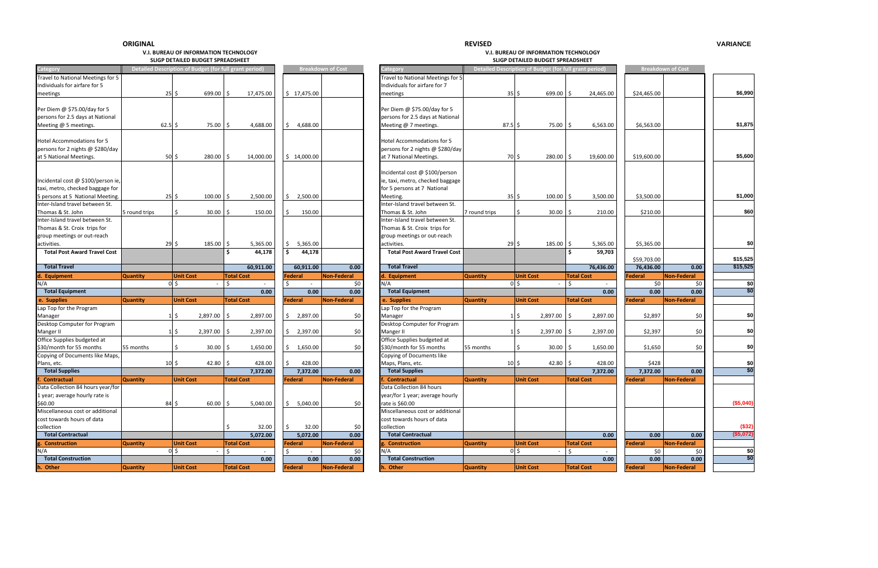#### **REVISED**

#### **V.I. BUREAU OF INFORMATIONSLIGP DETAILED**

 **TECHNOLOGY V.I. BUREAU OF INFORMATION TECHNOLOGY BUDGET SPREADSHEET SLIGP DETAILED BUDGET SPREADSHEET**

| Detailed Description of Budget (for full grant period)<br><b>Breakdown of Cost</b><br>Detailed Description of Budget (for full grant period)<br>Category<br>Travel to National Meetings for 5<br>Travel to National Meetings for 5<br>Individuals for airfare for 7<br>$25 \frac{1}{2}$<br>$699.00$ \$<br>$35 \, \space$ \$<br>699.00 \$<br>24,465.00<br>meetings<br>17,475.00<br>\$17,475.00<br>meetings<br>Per Diem @ \$75.00/day for 5<br>Per Diem @ \$75.00/day for 5<br>persons for 2.5 days at National<br>persons for 2.5 days at National<br>Meeting @ 5 meetings.<br>$62.5$ \$<br>$87.5$ \$<br>$75.00$   \$<br>4,688.00<br>\$<br>4,688.00<br>Meeting @ 7 meetings.<br>75.00<br>Ŝ.<br>6,563.00<br>Hotel Accommodations for 5<br><b>Hotel Accommodations for 5</b><br>persons for 2 nights @ \$280/day<br>persons for 2 nights @ \$280/day<br>$50\overline{\smash{\big\vert}}\,$ \$<br>70 \$<br>at 5 National Meetings.<br>$280.00$ \$<br>14,000.00<br>\$14,000.00<br>at 7 National Meetings.<br>280.00<br>-\$<br>19,600.00<br>Incidental cost @ \$100/person<br>ie, taxi, metro, checked baggage<br>Incidental cost @ \$100/person ie,<br>for 5 persons at 7 National<br>5 persons at 5 National Meeting.<br>$25$ \$<br>$100.00$ \$<br>$35\frac{1}{2}$<br>2,500.00<br>\$<br>2,500.00<br>Meeting.<br>100.00<br>۱\$<br>3,500.00<br>Inter-Island travel between St.<br>Inter-Island travel between St.<br>Thomas & St. John<br>30.00<br>150.00<br>\$<br>150.00<br>Thomas & St. John<br>Ŝ.<br>210.00<br>5 round trips<br>Ś<br>7 round trips<br>\$<br>30.00<br>l S<br>Inter-Island travel between St.<br>Inter-Island travel between St.<br>Thomas & St. Croix trips for<br>Thomas & St. Croix trips for<br>group meetings or out-reach<br>group meetings or out-reach<br>$29\frac{1}{2}$<br>5,365.00<br>activities.<br>$29\frac{1}{5}$<br>$185.00$ \$<br>5,365.00<br>5,365.00<br>activities.<br>185.00<br>\$<br>\$<br>Ŝ.<br>Ŝ.<br>44,178<br>Ŝ<br><b>Total Post Award Travel Cost</b><br>44,178<br><b>Total Post Award Travel Cost</b><br>59,703<br><b>Total Travel</b><br><b>Total Travel</b><br>60,911.00<br>60,911.00<br>0.00<br>76,436.00<br>Non-Federal<br><b>Quantity</b><br><b>Unit Cost</b><br><b>Total Cost</b><br>Federal<br><b>Quantity</b><br><b>Unit Cost</b><br><b>Total Cost</b><br>d. Equipment<br>d. Equipment<br>N/A<br>$0\vert$ \$<br>$0\vert\sin\theta$<br>\$0<br>$\zeta$<br>l \$<br>N/A<br>$\sim$<br>$\sim$ 100 $\mu$<br><b>Total Equipment</b><br><b>Total Equipment</b><br>0.00<br>0.00<br>0.00<br>e. Supplies<br><b>Quantity</b><br><b>Unit Cost</b><br><b>Total Cost</b><br><b>Federal</b><br><b>Non-Federal</b><br>e. Supplies<br><b>Quantity</b><br><b>Total Cost</b><br><b>Unit Cost</b><br>Lap Top for the Program<br>Lap Top for the Program<br>$1\overline{\phantom{0}}$<br>$1\overline{5}$<br>2,897.00<br>$\vert$ \$<br>2,897.00<br>\$2,897.00<br>\$0<br>2,897.00<br>\$<br>Manager<br>Manager<br>Desktop Computer for Program<br>$1\overline{\phantom{0}}$<br>$1\overline{5}$<br>2,397.00<br>2,397.00<br>2,397.00<br>\$0<br>Manger II<br>2,397.00<br>-\$<br>\$.<br>Office Supplies budgeted at<br>\$30/month for 55 months<br>\$<br>\$30/month for 55 months<br>55 months<br>$30.00$ \$<br>55 months<br>\$<br>30.00<br>1,650.00<br>\$0<br>-Ś<br>1,650.00<br>S.<br>Copying of Documents like<br>$10 \,$ \$<br>$10\frac{1}{2}$<br>$42.80$ \$<br>Maps, Plans, etc.<br>42.80<br>428.00<br>428.00<br>Ŝ.<br>\$<br><b>Total Supplies</b><br><b>Total Supplies</b><br>7,372.00<br>7,372.00<br>0.00<br><b>Total Cost</b><br>Non-Federal<br>f. Contractual<br>f. Contractual<br><b>Unit Cost</b><br>Federal<br><b>Unit Cost</b><br><b>Total Cost</b><br><b>Quantity</b><br><b>Quantity</b><br>Data Collection 84 hours<br>year/for 1 year; average hourly<br>$84\overline{\smash{5}}$<br>$60.00$ \$<br>5,040.00<br>5,040.00<br>\$0<br>rate is \$60.00<br>\$60.00<br>\$.<br>Miscellaneous cost or additional<br>cost towards hours of data<br>cost towards hours of data<br>collection<br>collection<br>32.00<br>32.00<br>\$<br>\$0<br><b>Total Contractual</b><br><b>Total Contractual</b><br>5,072.00<br>5,072.00<br>0.00<br>Non-Federal<br><b>Quantity</b><br><b>Unit Cost</b><br><b>Total Cost</b><br><b>Federal</b><br>g. Construction<br><b>Quantity</b><br><b>Unit Cost</b><br><b>Total Cost</b><br>$0\vert\sin\theta$<br>Ś.<br>$0\sqrt{5}$<br>\$<br>$\ddot{\mathsf{S}}$<br>N/A<br>\$0<br>$\overline{\phantom{0}}$<br>$\sim$<br>$\sim$<br><b>Total Construction</b><br><b>Total Construction</b><br>0.00<br>0.00<br>0.00<br><b>Total Cost</b><br><b>Federal</b><br>Non-Federal<br><b>Unit Cost</b><br><b>Total Cost</b><br>h. Other<br><b>Quantity</b><br><b>Unit Cost</b><br>h. Other<br><b>Quantity</b> |                                   |  |  |  |  |          |
|------------------------------------------------------------------------------------------------------------------------------------------------------------------------------------------------------------------------------------------------------------------------------------------------------------------------------------------------------------------------------------------------------------------------------------------------------------------------------------------------------------------------------------------------------------------------------------------------------------------------------------------------------------------------------------------------------------------------------------------------------------------------------------------------------------------------------------------------------------------------------------------------------------------------------------------------------------------------------------------------------------------------------------------------------------------------------------------------------------------------------------------------------------------------------------------------------------------------------------------------------------------------------------------------------------------------------------------------------------------------------------------------------------------------------------------------------------------------------------------------------------------------------------------------------------------------------------------------------------------------------------------------------------------------------------------------------------------------------------------------------------------------------------------------------------------------------------------------------------------------------------------------------------------------------------------------------------------------------------------------------------------------------------------------------------------------------------------------------------------------------------------------------------------------------------------------------------------------------------------------------------------------------------------------------------------------------------------------------------------------------------------------------------------------------------------------------------------------------------------------------------------------------------------------------------------------------------------------------------------------------------------------------------------------------------------------------------------------------------------------------------------------------------------------------------------------------------------------------------------------------------------------------------------------------------------------------------------------------------------------------------------------------------------------------------------------------------------------------------------------------------------------------------------------------------------------------------------------------------------------------------------------------------------------------------------------------------------------------------------------------------------------------------------------------------------------------------------------------------------------------------------------------------------------------------------------------------------------------------------------------------------------------------------------------------------------------------------------------------------------------------------------------------------------------------------------------------------------------------------------------------------------------------------------------------------------------------------------------------------------------------------------------------------------------------------------------------------------------------------------------------------------------------------------------------------------------------------------------------------------------------------------------------------------------------------------------------------------------------------------------------------------------------------------------------------------------------------------------------------------------------------------------------------------------------------------------------------------------------------------------------------------------------------------------------------------------------------------------------------|-----------------------------------|--|--|--|--|----------|
|                                                                                                                                                                                                                                                                                                                                                                                                                                                                                                                                                                                                                                                                                                                                                                                                                                                                                                                                                                                                                                                                                                                                                                                                                                                                                                                                                                                                                                                                                                                                                                                                                                                                                                                                                                                                                                                                                                                                                                                                                                                                                                                                                                                                                                                                                                                                                                                                                                                                                                                                                                                                                                                                                                                                                                                                                                                                                                                                                                                                                                                                                                                                                                                                                                                                                                                                                                                                                                                                                                                                                                                                                                                                                                                                                                                                                                                                                                                                                                                                                                                                                                                                                                                                                                                                                                                                                                                                                                                                                                                                                                                                                                                                                                                                          | Category                          |  |  |  |  |          |
|                                                                                                                                                                                                                                                                                                                                                                                                                                                                                                                                                                                                                                                                                                                                                                                                                                                                                                                                                                                                                                                                                                                                                                                                                                                                                                                                                                                                                                                                                                                                                                                                                                                                                                                                                                                                                                                                                                                                                                                                                                                                                                                                                                                                                                                                                                                                                                                                                                                                                                                                                                                                                                                                                                                                                                                                                                                                                                                                                                                                                                                                                                                                                                                                                                                                                                                                                                                                                                                                                                                                                                                                                                                                                                                                                                                                                                                                                                                                                                                                                                                                                                                                                                                                                                                                                                                                                                                                                                                                                                                                                                                                                                                                                                                                          |                                   |  |  |  |  |          |
|                                                                                                                                                                                                                                                                                                                                                                                                                                                                                                                                                                                                                                                                                                                                                                                                                                                                                                                                                                                                                                                                                                                                                                                                                                                                                                                                                                                                                                                                                                                                                                                                                                                                                                                                                                                                                                                                                                                                                                                                                                                                                                                                                                                                                                                                                                                                                                                                                                                                                                                                                                                                                                                                                                                                                                                                                                                                                                                                                                                                                                                                                                                                                                                                                                                                                                                                                                                                                                                                                                                                                                                                                                                                                                                                                                                                                                                                                                                                                                                                                                                                                                                                                                                                                                                                                                                                                                                                                                                                                                                                                                                                                                                                                                                                          | Individuals for airfare for 5     |  |  |  |  |          |
|                                                                                                                                                                                                                                                                                                                                                                                                                                                                                                                                                                                                                                                                                                                                                                                                                                                                                                                                                                                                                                                                                                                                                                                                                                                                                                                                                                                                                                                                                                                                                                                                                                                                                                                                                                                                                                                                                                                                                                                                                                                                                                                                                                                                                                                                                                                                                                                                                                                                                                                                                                                                                                                                                                                                                                                                                                                                                                                                                                                                                                                                                                                                                                                                                                                                                                                                                                                                                                                                                                                                                                                                                                                                                                                                                                                                                                                                                                                                                                                                                                                                                                                                                                                                                                                                                                                                                                                                                                                                                                                                                                                                                                                                                                                                          |                                   |  |  |  |  |          |
|                                                                                                                                                                                                                                                                                                                                                                                                                                                                                                                                                                                                                                                                                                                                                                                                                                                                                                                                                                                                                                                                                                                                                                                                                                                                                                                                                                                                                                                                                                                                                                                                                                                                                                                                                                                                                                                                                                                                                                                                                                                                                                                                                                                                                                                                                                                                                                                                                                                                                                                                                                                                                                                                                                                                                                                                                                                                                                                                                                                                                                                                                                                                                                                                                                                                                                                                                                                                                                                                                                                                                                                                                                                                                                                                                                                                                                                                                                                                                                                                                                                                                                                                                                                                                                                                                                                                                                                                                                                                                                                                                                                                                                                                                                                                          |                                   |  |  |  |  |          |
|                                                                                                                                                                                                                                                                                                                                                                                                                                                                                                                                                                                                                                                                                                                                                                                                                                                                                                                                                                                                                                                                                                                                                                                                                                                                                                                                                                                                                                                                                                                                                                                                                                                                                                                                                                                                                                                                                                                                                                                                                                                                                                                                                                                                                                                                                                                                                                                                                                                                                                                                                                                                                                                                                                                                                                                                                                                                                                                                                                                                                                                                                                                                                                                                                                                                                                                                                                                                                                                                                                                                                                                                                                                                                                                                                                                                                                                                                                                                                                                                                                                                                                                                                                                                                                                                                                                                                                                                                                                                                                                                                                                                                                                                                                                                          |                                   |  |  |  |  |          |
|                                                                                                                                                                                                                                                                                                                                                                                                                                                                                                                                                                                                                                                                                                                                                                                                                                                                                                                                                                                                                                                                                                                                                                                                                                                                                                                                                                                                                                                                                                                                                                                                                                                                                                                                                                                                                                                                                                                                                                                                                                                                                                                                                                                                                                                                                                                                                                                                                                                                                                                                                                                                                                                                                                                                                                                                                                                                                                                                                                                                                                                                                                                                                                                                                                                                                                                                                                                                                                                                                                                                                                                                                                                                                                                                                                                                                                                                                                                                                                                                                                                                                                                                                                                                                                                                                                                                                                                                                                                                                                                                                                                                                                                                                                                                          |                                   |  |  |  |  |          |
|                                                                                                                                                                                                                                                                                                                                                                                                                                                                                                                                                                                                                                                                                                                                                                                                                                                                                                                                                                                                                                                                                                                                                                                                                                                                                                                                                                                                                                                                                                                                                                                                                                                                                                                                                                                                                                                                                                                                                                                                                                                                                                                                                                                                                                                                                                                                                                                                                                                                                                                                                                                                                                                                                                                                                                                                                                                                                                                                                                                                                                                                                                                                                                                                                                                                                                                                                                                                                                                                                                                                                                                                                                                                                                                                                                                                                                                                                                                                                                                                                                                                                                                                                                                                                                                                                                                                                                                                                                                                                                                                                                                                                                                                                                                                          |                                   |  |  |  |  |          |
|                                                                                                                                                                                                                                                                                                                                                                                                                                                                                                                                                                                                                                                                                                                                                                                                                                                                                                                                                                                                                                                                                                                                                                                                                                                                                                                                                                                                                                                                                                                                                                                                                                                                                                                                                                                                                                                                                                                                                                                                                                                                                                                                                                                                                                                                                                                                                                                                                                                                                                                                                                                                                                                                                                                                                                                                                                                                                                                                                                                                                                                                                                                                                                                                                                                                                                                                                                                                                                                                                                                                                                                                                                                                                                                                                                                                                                                                                                                                                                                                                                                                                                                                                                                                                                                                                                                                                                                                                                                                                                                                                                                                                                                                                                                                          |                                   |  |  |  |  |          |
|                                                                                                                                                                                                                                                                                                                                                                                                                                                                                                                                                                                                                                                                                                                                                                                                                                                                                                                                                                                                                                                                                                                                                                                                                                                                                                                                                                                                                                                                                                                                                                                                                                                                                                                                                                                                                                                                                                                                                                                                                                                                                                                                                                                                                                                                                                                                                                                                                                                                                                                                                                                                                                                                                                                                                                                                                                                                                                                                                                                                                                                                                                                                                                                                                                                                                                                                                                                                                                                                                                                                                                                                                                                                                                                                                                                                                                                                                                                                                                                                                                                                                                                                                                                                                                                                                                                                                                                                                                                                                                                                                                                                                                                                                                                                          |                                   |  |  |  |  |          |
|                                                                                                                                                                                                                                                                                                                                                                                                                                                                                                                                                                                                                                                                                                                                                                                                                                                                                                                                                                                                                                                                                                                                                                                                                                                                                                                                                                                                                                                                                                                                                                                                                                                                                                                                                                                                                                                                                                                                                                                                                                                                                                                                                                                                                                                                                                                                                                                                                                                                                                                                                                                                                                                                                                                                                                                                                                                                                                                                                                                                                                                                                                                                                                                                                                                                                                                                                                                                                                                                                                                                                                                                                                                                                                                                                                                                                                                                                                                                                                                                                                                                                                                                                                                                                                                                                                                                                                                                                                                                                                                                                                                                                                                                                                                                          |                                   |  |  |  |  |          |
|                                                                                                                                                                                                                                                                                                                                                                                                                                                                                                                                                                                                                                                                                                                                                                                                                                                                                                                                                                                                                                                                                                                                                                                                                                                                                                                                                                                                                                                                                                                                                                                                                                                                                                                                                                                                                                                                                                                                                                                                                                                                                                                                                                                                                                                                                                                                                                                                                                                                                                                                                                                                                                                                                                                                                                                                                                                                                                                                                                                                                                                                                                                                                                                                                                                                                                                                                                                                                                                                                                                                                                                                                                                                                                                                                                                                                                                                                                                                                                                                                                                                                                                                                                                                                                                                                                                                                                                                                                                                                                                                                                                                                                                                                                                                          |                                   |  |  |  |  |          |
|                                                                                                                                                                                                                                                                                                                                                                                                                                                                                                                                                                                                                                                                                                                                                                                                                                                                                                                                                                                                                                                                                                                                                                                                                                                                                                                                                                                                                                                                                                                                                                                                                                                                                                                                                                                                                                                                                                                                                                                                                                                                                                                                                                                                                                                                                                                                                                                                                                                                                                                                                                                                                                                                                                                                                                                                                                                                                                                                                                                                                                                                                                                                                                                                                                                                                                                                                                                                                                                                                                                                                                                                                                                                                                                                                                                                                                                                                                                                                                                                                                                                                                                                                                                                                                                                                                                                                                                                                                                                                                                                                                                                                                                                                                                                          |                                   |  |  |  |  |          |
|                                                                                                                                                                                                                                                                                                                                                                                                                                                                                                                                                                                                                                                                                                                                                                                                                                                                                                                                                                                                                                                                                                                                                                                                                                                                                                                                                                                                                                                                                                                                                                                                                                                                                                                                                                                                                                                                                                                                                                                                                                                                                                                                                                                                                                                                                                                                                                                                                                                                                                                                                                                                                                                                                                                                                                                                                                                                                                                                                                                                                                                                                                                                                                                                                                                                                                                                                                                                                                                                                                                                                                                                                                                                                                                                                                                                                                                                                                                                                                                                                                                                                                                                                                                                                                                                                                                                                                                                                                                                                                                                                                                                                                                                                                                                          |                                   |  |  |  |  |          |
|                                                                                                                                                                                                                                                                                                                                                                                                                                                                                                                                                                                                                                                                                                                                                                                                                                                                                                                                                                                                                                                                                                                                                                                                                                                                                                                                                                                                                                                                                                                                                                                                                                                                                                                                                                                                                                                                                                                                                                                                                                                                                                                                                                                                                                                                                                                                                                                                                                                                                                                                                                                                                                                                                                                                                                                                                                                                                                                                                                                                                                                                                                                                                                                                                                                                                                                                                                                                                                                                                                                                                                                                                                                                                                                                                                                                                                                                                                                                                                                                                                                                                                                                                                                                                                                                                                                                                                                                                                                                                                                                                                                                                                                                                                                                          |                                   |  |  |  |  |          |
|                                                                                                                                                                                                                                                                                                                                                                                                                                                                                                                                                                                                                                                                                                                                                                                                                                                                                                                                                                                                                                                                                                                                                                                                                                                                                                                                                                                                                                                                                                                                                                                                                                                                                                                                                                                                                                                                                                                                                                                                                                                                                                                                                                                                                                                                                                                                                                                                                                                                                                                                                                                                                                                                                                                                                                                                                                                                                                                                                                                                                                                                                                                                                                                                                                                                                                                                                                                                                                                                                                                                                                                                                                                                                                                                                                                                                                                                                                                                                                                                                                                                                                                                                                                                                                                                                                                                                                                                                                                                                                                                                                                                                                                                                                                                          |                                   |  |  |  |  |          |
|                                                                                                                                                                                                                                                                                                                                                                                                                                                                                                                                                                                                                                                                                                                                                                                                                                                                                                                                                                                                                                                                                                                                                                                                                                                                                                                                                                                                                                                                                                                                                                                                                                                                                                                                                                                                                                                                                                                                                                                                                                                                                                                                                                                                                                                                                                                                                                                                                                                                                                                                                                                                                                                                                                                                                                                                                                                                                                                                                                                                                                                                                                                                                                                                                                                                                                                                                                                                                                                                                                                                                                                                                                                                                                                                                                                                                                                                                                                                                                                                                                                                                                                                                                                                                                                                                                                                                                                                                                                                                                                                                                                                                                                                                                                                          | taxi, metro, checked baggage for  |  |  |  |  |          |
|                                                                                                                                                                                                                                                                                                                                                                                                                                                                                                                                                                                                                                                                                                                                                                                                                                                                                                                                                                                                                                                                                                                                                                                                                                                                                                                                                                                                                                                                                                                                                                                                                                                                                                                                                                                                                                                                                                                                                                                                                                                                                                                                                                                                                                                                                                                                                                                                                                                                                                                                                                                                                                                                                                                                                                                                                                                                                                                                                                                                                                                                                                                                                                                                                                                                                                                                                                                                                                                                                                                                                                                                                                                                                                                                                                                                                                                                                                                                                                                                                                                                                                                                                                                                                                                                                                                                                                                                                                                                                                                                                                                                                                                                                                                                          |                                   |  |  |  |  |          |
|                                                                                                                                                                                                                                                                                                                                                                                                                                                                                                                                                                                                                                                                                                                                                                                                                                                                                                                                                                                                                                                                                                                                                                                                                                                                                                                                                                                                                                                                                                                                                                                                                                                                                                                                                                                                                                                                                                                                                                                                                                                                                                                                                                                                                                                                                                                                                                                                                                                                                                                                                                                                                                                                                                                                                                                                                                                                                                                                                                                                                                                                                                                                                                                                                                                                                                                                                                                                                                                                                                                                                                                                                                                                                                                                                                                                                                                                                                                                                                                                                                                                                                                                                                                                                                                                                                                                                                                                                                                                                                                                                                                                                                                                                                                                          |                                   |  |  |  |  |          |
|                                                                                                                                                                                                                                                                                                                                                                                                                                                                                                                                                                                                                                                                                                                                                                                                                                                                                                                                                                                                                                                                                                                                                                                                                                                                                                                                                                                                                                                                                                                                                                                                                                                                                                                                                                                                                                                                                                                                                                                                                                                                                                                                                                                                                                                                                                                                                                                                                                                                                                                                                                                                                                                                                                                                                                                                                                                                                                                                                                                                                                                                                                                                                                                                                                                                                                                                                                                                                                                                                                                                                                                                                                                                                                                                                                                                                                                                                                                                                                                                                                                                                                                                                                                                                                                                                                                                                                                                                                                                                                                                                                                                                                                                                                                                          |                                   |  |  |  |  |          |
|                                                                                                                                                                                                                                                                                                                                                                                                                                                                                                                                                                                                                                                                                                                                                                                                                                                                                                                                                                                                                                                                                                                                                                                                                                                                                                                                                                                                                                                                                                                                                                                                                                                                                                                                                                                                                                                                                                                                                                                                                                                                                                                                                                                                                                                                                                                                                                                                                                                                                                                                                                                                                                                                                                                                                                                                                                                                                                                                                                                                                                                                                                                                                                                                                                                                                                                                                                                                                                                                                                                                                                                                                                                                                                                                                                                                                                                                                                                                                                                                                                                                                                                                                                                                                                                                                                                                                                                                                                                                                                                                                                                                                                                                                                                                          |                                   |  |  |  |  |          |
|                                                                                                                                                                                                                                                                                                                                                                                                                                                                                                                                                                                                                                                                                                                                                                                                                                                                                                                                                                                                                                                                                                                                                                                                                                                                                                                                                                                                                                                                                                                                                                                                                                                                                                                                                                                                                                                                                                                                                                                                                                                                                                                                                                                                                                                                                                                                                                                                                                                                                                                                                                                                                                                                                                                                                                                                                                                                                                                                                                                                                                                                                                                                                                                                                                                                                                                                                                                                                                                                                                                                                                                                                                                                                                                                                                                                                                                                                                                                                                                                                                                                                                                                                                                                                                                                                                                                                                                                                                                                                                                                                                                                                                                                                                                                          |                                   |  |  |  |  |          |
|                                                                                                                                                                                                                                                                                                                                                                                                                                                                                                                                                                                                                                                                                                                                                                                                                                                                                                                                                                                                                                                                                                                                                                                                                                                                                                                                                                                                                                                                                                                                                                                                                                                                                                                                                                                                                                                                                                                                                                                                                                                                                                                                                                                                                                                                                                                                                                                                                                                                                                                                                                                                                                                                                                                                                                                                                                                                                                                                                                                                                                                                                                                                                                                                                                                                                                                                                                                                                                                                                                                                                                                                                                                                                                                                                                                                                                                                                                                                                                                                                                                                                                                                                                                                                                                                                                                                                                                                                                                                                                                                                                                                                                                                                                                                          |                                   |  |  |  |  |          |
|                                                                                                                                                                                                                                                                                                                                                                                                                                                                                                                                                                                                                                                                                                                                                                                                                                                                                                                                                                                                                                                                                                                                                                                                                                                                                                                                                                                                                                                                                                                                                                                                                                                                                                                                                                                                                                                                                                                                                                                                                                                                                                                                                                                                                                                                                                                                                                                                                                                                                                                                                                                                                                                                                                                                                                                                                                                                                                                                                                                                                                                                                                                                                                                                                                                                                                                                                                                                                                                                                                                                                                                                                                                                                                                                                                                                                                                                                                                                                                                                                                                                                                                                                                                                                                                                                                                                                                                                                                                                                                                                                                                                                                                                                                                                          |                                   |  |  |  |  |          |
|                                                                                                                                                                                                                                                                                                                                                                                                                                                                                                                                                                                                                                                                                                                                                                                                                                                                                                                                                                                                                                                                                                                                                                                                                                                                                                                                                                                                                                                                                                                                                                                                                                                                                                                                                                                                                                                                                                                                                                                                                                                                                                                                                                                                                                                                                                                                                                                                                                                                                                                                                                                                                                                                                                                                                                                                                                                                                                                                                                                                                                                                                                                                                                                                                                                                                                                                                                                                                                                                                                                                                                                                                                                                                                                                                                                                                                                                                                                                                                                                                                                                                                                                                                                                                                                                                                                                                                                                                                                                                                                                                                                                                                                                                                                                          |                                   |  |  |  |  |          |
|                                                                                                                                                                                                                                                                                                                                                                                                                                                                                                                                                                                                                                                                                                                                                                                                                                                                                                                                                                                                                                                                                                                                                                                                                                                                                                                                                                                                                                                                                                                                                                                                                                                                                                                                                                                                                                                                                                                                                                                                                                                                                                                                                                                                                                                                                                                                                                                                                                                                                                                                                                                                                                                                                                                                                                                                                                                                                                                                                                                                                                                                                                                                                                                                                                                                                                                                                                                                                                                                                                                                                                                                                                                                                                                                                                                                                                                                                                                                                                                                                                                                                                                                                                                                                                                                                                                                                                                                                                                                                                                                                                                                                                                                                                                                          |                                   |  |  |  |  |          |
|                                                                                                                                                                                                                                                                                                                                                                                                                                                                                                                                                                                                                                                                                                                                                                                                                                                                                                                                                                                                                                                                                                                                                                                                                                                                                                                                                                                                                                                                                                                                                                                                                                                                                                                                                                                                                                                                                                                                                                                                                                                                                                                                                                                                                                                                                                                                                                                                                                                                                                                                                                                                                                                                                                                                                                                                                                                                                                                                                                                                                                                                                                                                                                                                                                                                                                                                                                                                                                                                                                                                                                                                                                                                                                                                                                                                                                                                                                                                                                                                                                                                                                                                                                                                                                                                                                                                                                                                                                                                                                                                                                                                                                                                                                                                          |                                   |  |  |  |  |          |
|                                                                                                                                                                                                                                                                                                                                                                                                                                                                                                                                                                                                                                                                                                                                                                                                                                                                                                                                                                                                                                                                                                                                                                                                                                                                                                                                                                                                                                                                                                                                                                                                                                                                                                                                                                                                                                                                                                                                                                                                                                                                                                                                                                                                                                                                                                                                                                                                                                                                                                                                                                                                                                                                                                                                                                                                                                                                                                                                                                                                                                                                                                                                                                                                                                                                                                                                                                                                                                                                                                                                                                                                                                                                                                                                                                                                                                                                                                                                                                                                                                                                                                                                                                                                                                                                                                                                                                                                                                                                                                                                                                                                                                                                                                                                          |                                   |  |  |  |  |          |
|                                                                                                                                                                                                                                                                                                                                                                                                                                                                                                                                                                                                                                                                                                                                                                                                                                                                                                                                                                                                                                                                                                                                                                                                                                                                                                                                                                                                                                                                                                                                                                                                                                                                                                                                                                                                                                                                                                                                                                                                                                                                                                                                                                                                                                                                                                                                                                                                                                                                                                                                                                                                                                                                                                                                                                                                                                                                                                                                                                                                                                                                                                                                                                                                                                                                                                                                                                                                                                                                                                                                                                                                                                                                                                                                                                                                                                                                                                                                                                                                                                                                                                                                                                                                                                                                                                                                                                                                                                                                                                                                                                                                                                                                                                                                          |                                   |  |  |  |  |          |
|                                                                                                                                                                                                                                                                                                                                                                                                                                                                                                                                                                                                                                                                                                                                                                                                                                                                                                                                                                                                                                                                                                                                                                                                                                                                                                                                                                                                                                                                                                                                                                                                                                                                                                                                                                                                                                                                                                                                                                                                                                                                                                                                                                                                                                                                                                                                                                                                                                                                                                                                                                                                                                                                                                                                                                                                                                                                                                                                                                                                                                                                                                                                                                                                                                                                                                                                                                                                                                                                                                                                                                                                                                                                                                                                                                                                                                                                                                                                                                                                                                                                                                                                                                                                                                                                                                                                                                                                                                                                                                                                                                                                                                                                                                                                          |                                   |  |  |  |  |          |
|                                                                                                                                                                                                                                                                                                                                                                                                                                                                                                                                                                                                                                                                                                                                                                                                                                                                                                                                                                                                                                                                                                                                                                                                                                                                                                                                                                                                                                                                                                                                                                                                                                                                                                                                                                                                                                                                                                                                                                                                                                                                                                                                                                                                                                                                                                                                                                                                                                                                                                                                                                                                                                                                                                                                                                                                                                                                                                                                                                                                                                                                                                                                                                                                                                                                                                                                                                                                                                                                                                                                                                                                                                                                                                                                                                                                                                                                                                                                                                                                                                                                                                                                                                                                                                                                                                                                                                                                                                                                                                                                                                                                                                                                                                                                          |                                   |  |  |  |  |          |
|                                                                                                                                                                                                                                                                                                                                                                                                                                                                                                                                                                                                                                                                                                                                                                                                                                                                                                                                                                                                                                                                                                                                                                                                                                                                                                                                                                                                                                                                                                                                                                                                                                                                                                                                                                                                                                                                                                                                                                                                                                                                                                                                                                                                                                                                                                                                                                                                                                                                                                                                                                                                                                                                                                                                                                                                                                                                                                                                                                                                                                                                                                                                                                                                                                                                                                                                                                                                                                                                                                                                                                                                                                                                                                                                                                                                                                                                                                                                                                                                                                                                                                                                                                                                                                                                                                                                                                                                                                                                                                                                                                                                                                                                                                                                          |                                   |  |  |  |  | 0.00     |
|                                                                                                                                                                                                                                                                                                                                                                                                                                                                                                                                                                                                                                                                                                                                                                                                                                                                                                                                                                                                                                                                                                                                                                                                                                                                                                                                                                                                                                                                                                                                                                                                                                                                                                                                                                                                                                                                                                                                                                                                                                                                                                                                                                                                                                                                                                                                                                                                                                                                                                                                                                                                                                                                                                                                                                                                                                                                                                                                                                                                                                                                                                                                                                                                                                                                                                                                                                                                                                                                                                                                                                                                                                                                                                                                                                                                                                                                                                                                                                                                                                                                                                                                                                                                                                                                                                                                                                                                                                                                                                                                                                                                                                                                                                                                          |                                   |  |  |  |  |          |
|                                                                                                                                                                                                                                                                                                                                                                                                                                                                                                                                                                                                                                                                                                                                                                                                                                                                                                                                                                                                                                                                                                                                                                                                                                                                                                                                                                                                                                                                                                                                                                                                                                                                                                                                                                                                                                                                                                                                                                                                                                                                                                                                                                                                                                                                                                                                                                                                                                                                                                                                                                                                                                                                                                                                                                                                                                                                                                                                                                                                                                                                                                                                                                                                                                                                                                                                                                                                                                                                                                                                                                                                                                                                                                                                                                                                                                                                                                                                                                                                                                                                                                                                                                                                                                                                                                                                                                                                                                                                                                                                                                                                                                                                                                                                          |                                   |  |  |  |  |          |
|                                                                                                                                                                                                                                                                                                                                                                                                                                                                                                                                                                                                                                                                                                                                                                                                                                                                                                                                                                                                                                                                                                                                                                                                                                                                                                                                                                                                                                                                                                                                                                                                                                                                                                                                                                                                                                                                                                                                                                                                                                                                                                                                                                                                                                                                                                                                                                                                                                                                                                                                                                                                                                                                                                                                                                                                                                                                                                                                                                                                                                                                                                                                                                                                                                                                                                                                                                                                                                                                                                                                                                                                                                                                                                                                                                                                                                                                                                                                                                                                                                                                                                                                                                                                                                                                                                                                                                                                                                                                                                                                                                                                                                                                                                                                          |                                   |  |  |  |  | 2,897.00 |
|                                                                                                                                                                                                                                                                                                                                                                                                                                                                                                                                                                                                                                                                                                                                                                                                                                                                                                                                                                                                                                                                                                                                                                                                                                                                                                                                                                                                                                                                                                                                                                                                                                                                                                                                                                                                                                                                                                                                                                                                                                                                                                                                                                                                                                                                                                                                                                                                                                                                                                                                                                                                                                                                                                                                                                                                                                                                                                                                                                                                                                                                                                                                                                                                                                                                                                                                                                                                                                                                                                                                                                                                                                                                                                                                                                                                                                                                                                                                                                                                                                                                                                                                                                                                                                                                                                                                                                                                                                                                                                                                                                                                                                                                                                                                          | Desktop Computer for Program      |  |  |  |  |          |
|                                                                                                                                                                                                                                                                                                                                                                                                                                                                                                                                                                                                                                                                                                                                                                                                                                                                                                                                                                                                                                                                                                                                                                                                                                                                                                                                                                                                                                                                                                                                                                                                                                                                                                                                                                                                                                                                                                                                                                                                                                                                                                                                                                                                                                                                                                                                                                                                                                                                                                                                                                                                                                                                                                                                                                                                                                                                                                                                                                                                                                                                                                                                                                                                                                                                                                                                                                                                                                                                                                                                                                                                                                                                                                                                                                                                                                                                                                                                                                                                                                                                                                                                                                                                                                                                                                                                                                                                                                                                                                                                                                                                                                                                                                                                          | Manger II                         |  |  |  |  | 2,397.00 |
|                                                                                                                                                                                                                                                                                                                                                                                                                                                                                                                                                                                                                                                                                                                                                                                                                                                                                                                                                                                                                                                                                                                                                                                                                                                                                                                                                                                                                                                                                                                                                                                                                                                                                                                                                                                                                                                                                                                                                                                                                                                                                                                                                                                                                                                                                                                                                                                                                                                                                                                                                                                                                                                                                                                                                                                                                                                                                                                                                                                                                                                                                                                                                                                                                                                                                                                                                                                                                                                                                                                                                                                                                                                                                                                                                                                                                                                                                                                                                                                                                                                                                                                                                                                                                                                                                                                                                                                                                                                                                                                                                                                                                                                                                                                                          | Office Supplies budgeted at       |  |  |  |  |          |
|                                                                                                                                                                                                                                                                                                                                                                                                                                                                                                                                                                                                                                                                                                                                                                                                                                                                                                                                                                                                                                                                                                                                                                                                                                                                                                                                                                                                                                                                                                                                                                                                                                                                                                                                                                                                                                                                                                                                                                                                                                                                                                                                                                                                                                                                                                                                                                                                                                                                                                                                                                                                                                                                                                                                                                                                                                                                                                                                                                                                                                                                                                                                                                                                                                                                                                                                                                                                                                                                                                                                                                                                                                                                                                                                                                                                                                                                                                                                                                                                                                                                                                                                                                                                                                                                                                                                                                                                                                                                                                                                                                                                                                                                                                                                          |                                   |  |  |  |  | 1,650.00 |
|                                                                                                                                                                                                                                                                                                                                                                                                                                                                                                                                                                                                                                                                                                                                                                                                                                                                                                                                                                                                                                                                                                                                                                                                                                                                                                                                                                                                                                                                                                                                                                                                                                                                                                                                                                                                                                                                                                                                                                                                                                                                                                                                                                                                                                                                                                                                                                                                                                                                                                                                                                                                                                                                                                                                                                                                                                                                                                                                                                                                                                                                                                                                                                                                                                                                                                                                                                                                                                                                                                                                                                                                                                                                                                                                                                                                                                                                                                                                                                                                                                                                                                                                                                                                                                                                                                                                                                                                                                                                                                                                                                                                                                                                                                                                          | Copying of Documents like Maps,   |  |  |  |  |          |
|                                                                                                                                                                                                                                                                                                                                                                                                                                                                                                                                                                                                                                                                                                                                                                                                                                                                                                                                                                                                                                                                                                                                                                                                                                                                                                                                                                                                                                                                                                                                                                                                                                                                                                                                                                                                                                                                                                                                                                                                                                                                                                                                                                                                                                                                                                                                                                                                                                                                                                                                                                                                                                                                                                                                                                                                                                                                                                                                                                                                                                                                                                                                                                                                                                                                                                                                                                                                                                                                                                                                                                                                                                                                                                                                                                                                                                                                                                                                                                                                                                                                                                                                                                                                                                                                                                                                                                                                                                                                                                                                                                                                                                                                                                                                          |                                   |  |  |  |  |          |
|                                                                                                                                                                                                                                                                                                                                                                                                                                                                                                                                                                                                                                                                                                                                                                                                                                                                                                                                                                                                                                                                                                                                                                                                                                                                                                                                                                                                                                                                                                                                                                                                                                                                                                                                                                                                                                                                                                                                                                                                                                                                                                                                                                                                                                                                                                                                                                                                                                                                                                                                                                                                                                                                                                                                                                                                                                                                                                                                                                                                                                                                                                                                                                                                                                                                                                                                                                                                                                                                                                                                                                                                                                                                                                                                                                                                                                                                                                                                                                                                                                                                                                                                                                                                                                                                                                                                                                                                                                                                                                                                                                                                                                                                                                                                          | Plans, etc.                       |  |  |  |  | 428.00   |
|                                                                                                                                                                                                                                                                                                                                                                                                                                                                                                                                                                                                                                                                                                                                                                                                                                                                                                                                                                                                                                                                                                                                                                                                                                                                                                                                                                                                                                                                                                                                                                                                                                                                                                                                                                                                                                                                                                                                                                                                                                                                                                                                                                                                                                                                                                                                                                                                                                                                                                                                                                                                                                                                                                                                                                                                                                                                                                                                                                                                                                                                                                                                                                                                                                                                                                                                                                                                                                                                                                                                                                                                                                                                                                                                                                                                                                                                                                                                                                                                                                                                                                                                                                                                                                                                                                                                                                                                                                                                                                                                                                                                                                                                                                                                          |                                   |  |  |  |  | 7,372.00 |
|                                                                                                                                                                                                                                                                                                                                                                                                                                                                                                                                                                                                                                                                                                                                                                                                                                                                                                                                                                                                                                                                                                                                                                                                                                                                                                                                                                                                                                                                                                                                                                                                                                                                                                                                                                                                                                                                                                                                                                                                                                                                                                                                                                                                                                                                                                                                                                                                                                                                                                                                                                                                                                                                                                                                                                                                                                                                                                                                                                                                                                                                                                                                                                                                                                                                                                                                                                                                                                                                                                                                                                                                                                                                                                                                                                                                                                                                                                                                                                                                                                                                                                                                                                                                                                                                                                                                                                                                                                                                                                                                                                                                                                                                                                                                          |                                   |  |  |  |  |          |
|                                                                                                                                                                                                                                                                                                                                                                                                                                                                                                                                                                                                                                                                                                                                                                                                                                                                                                                                                                                                                                                                                                                                                                                                                                                                                                                                                                                                                                                                                                                                                                                                                                                                                                                                                                                                                                                                                                                                                                                                                                                                                                                                                                                                                                                                                                                                                                                                                                                                                                                                                                                                                                                                                                                                                                                                                                                                                                                                                                                                                                                                                                                                                                                                                                                                                                                                                                                                                                                                                                                                                                                                                                                                                                                                                                                                                                                                                                                                                                                                                                                                                                                                                                                                                                                                                                                                                                                                                                                                                                                                                                                                                                                                                                                                          | Data Collection 84 hours year/for |  |  |  |  |          |
|                                                                                                                                                                                                                                                                                                                                                                                                                                                                                                                                                                                                                                                                                                                                                                                                                                                                                                                                                                                                                                                                                                                                                                                                                                                                                                                                                                                                                                                                                                                                                                                                                                                                                                                                                                                                                                                                                                                                                                                                                                                                                                                                                                                                                                                                                                                                                                                                                                                                                                                                                                                                                                                                                                                                                                                                                                                                                                                                                                                                                                                                                                                                                                                                                                                                                                                                                                                                                                                                                                                                                                                                                                                                                                                                                                                                                                                                                                                                                                                                                                                                                                                                                                                                                                                                                                                                                                                                                                                                                                                                                                                                                                                                                                                                          | 1 year; average hourly rate is    |  |  |  |  |          |
|                                                                                                                                                                                                                                                                                                                                                                                                                                                                                                                                                                                                                                                                                                                                                                                                                                                                                                                                                                                                                                                                                                                                                                                                                                                                                                                                                                                                                                                                                                                                                                                                                                                                                                                                                                                                                                                                                                                                                                                                                                                                                                                                                                                                                                                                                                                                                                                                                                                                                                                                                                                                                                                                                                                                                                                                                                                                                                                                                                                                                                                                                                                                                                                                                                                                                                                                                                                                                                                                                                                                                                                                                                                                                                                                                                                                                                                                                                                                                                                                                                                                                                                                                                                                                                                                                                                                                                                                                                                                                                                                                                                                                                                                                                                                          |                                   |  |  |  |  |          |
|                                                                                                                                                                                                                                                                                                                                                                                                                                                                                                                                                                                                                                                                                                                                                                                                                                                                                                                                                                                                                                                                                                                                                                                                                                                                                                                                                                                                                                                                                                                                                                                                                                                                                                                                                                                                                                                                                                                                                                                                                                                                                                                                                                                                                                                                                                                                                                                                                                                                                                                                                                                                                                                                                                                                                                                                                                                                                                                                                                                                                                                                                                                                                                                                                                                                                                                                                                                                                                                                                                                                                                                                                                                                                                                                                                                                                                                                                                                                                                                                                                                                                                                                                                                                                                                                                                                                                                                                                                                                                                                                                                                                                                                                                                                                          | Miscellaneous cost or additional  |  |  |  |  |          |
|                                                                                                                                                                                                                                                                                                                                                                                                                                                                                                                                                                                                                                                                                                                                                                                                                                                                                                                                                                                                                                                                                                                                                                                                                                                                                                                                                                                                                                                                                                                                                                                                                                                                                                                                                                                                                                                                                                                                                                                                                                                                                                                                                                                                                                                                                                                                                                                                                                                                                                                                                                                                                                                                                                                                                                                                                                                                                                                                                                                                                                                                                                                                                                                                                                                                                                                                                                                                                                                                                                                                                                                                                                                                                                                                                                                                                                                                                                                                                                                                                                                                                                                                                                                                                                                                                                                                                                                                                                                                                                                                                                                                                                                                                                                                          |                                   |  |  |  |  |          |
|                                                                                                                                                                                                                                                                                                                                                                                                                                                                                                                                                                                                                                                                                                                                                                                                                                                                                                                                                                                                                                                                                                                                                                                                                                                                                                                                                                                                                                                                                                                                                                                                                                                                                                                                                                                                                                                                                                                                                                                                                                                                                                                                                                                                                                                                                                                                                                                                                                                                                                                                                                                                                                                                                                                                                                                                                                                                                                                                                                                                                                                                                                                                                                                                                                                                                                                                                                                                                                                                                                                                                                                                                                                                                                                                                                                                                                                                                                                                                                                                                                                                                                                                                                                                                                                                                                                                                                                                                                                                                                                                                                                                                                                                                                                                          |                                   |  |  |  |  |          |
|                                                                                                                                                                                                                                                                                                                                                                                                                                                                                                                                                                                                                                                                                                                                                                                                                                                                                                                                                                                                                                                                                                                                                                                                                                                                                                                                                                                                                                                                                                                                                                                                                                                                                                                                                                                                                                                                                                                                                                                                                                                                                                                                                                                                                                                                                                                                                                                                                                                                                                                                                                                                                                                                                                                                                                                                                                                                                                                                                                                                                                                                                                                                                                                                                                                                                                                                                                                                                                                                                                                                                                                                                                                                                                                                                                                                                                                                                                                                                                                                                                                                                                                                                                                                                                                                                                                                                                                                                                                                                                                                                                                                                                                                                                                                          |                                   |  |  |  |  | 0.00     |
|                                                                                                                                                                                                                                                                                                                                                                                                                                                                                                                                                                                                                                                                                                                                                                                                                                                                                                                                                                                                                                                                                                                                                                                                                                                                                                                                                                                                                                                                                                                                                                                                                                                                                                                                                                                                                                                                                                                                                                                                                                                                                                                                                                                                                                                                                                                                                                                                                                                                                                                                                                                                                                                                                                                                                                                                                                                                                                                                                                                                                                                                                                                                                                                                                                                                                                                                                                                                                                                                                                                                                                                                                                                                                                                                                                                                                                                                                                                                                                                                                                                                                                                                                                                                                                                                                                                                                                                                                                                                                                                                                                                                                                                                                                                                          | g. Construction                   |  |  |  |  |          |
|                                                                                                                                                                                                                                                                                                                                                                                                                                                                                                                                                                                                                                                                                                                                                                                                                                                                                                                                                                                                                                                                                                                                                                                                                                                                                                                                                                                                                                                                                                                                                                                                                                                                                                                                                                                                                                                                                                                                                                                                                                                                                                                                                                                                                                                                                                                                                                                                                                                                                                                                                                                                                                                                                                                                                                                                                                                                                                                                                                                                                                                                                                                                                                                                                                                                                                                                                                                                                                                                                                                                                                                                                                                                                                                                                                                                                                                                                                                                                                                                                                                                                                                                                                                                                                                                                                                                                                                                                                                                                                                                                                                                                                                                                                                                          | N/A                               |  |  |  |  | $\sim$   |
|                                                                                                                                                                                                                                                                                                                                                                                                                                                                                                                                                                                                                                                                                                                                                                                                                                                                                                                                                                                                                                                                                                                                                                                                                                                                                                                                                                                                                                                                                                                                                                                                                                                                                                                                                                                                                                                                                                                                                                                                                                                                                                                                                                                                                                                                                                                                                                                                                                                                                                                                                                                                                                                                                                                                                                                                                                                                                                                                                                                                                                                                                                                                                                                                                                                                                                                                                                                                                                                                                                                                                                                                                                                                                                                                                                                                                                                                                                                                                                                                                                                                                                                                                                                                                                                                                                                                                                                                                                                                                                                                                                                                                                                                                                                                          |                                   |  |  |  |  | 0.00     |
|                                                                                                                                                                                                                                                                                                                                                                                                                                                                                                                                                                                                                                                                                                                                                                                                                                                                                                                                                                                                                                                                                                                                                                                                                                                                                                                                                                                                                                                                                                                                                                                                                                                                                                                                                                                                                                                                                                                                                                                                                                                                                                                                                                                                                                                                                                                                                                                                                                                                                                                                                                                                                                                                                                                                                                                                                                                                                                                                                                                                                                                                                                                                                                                                                                                                                                                                                                                                                                                                                                                                                                                                                                                                                                                                                                                                                                                                                                                                                                                                                                                                                                                                                                                                                                                                                                                                                                                                                                                                                                                                                                                                                                                                                                                                          |                                   |  |  |  |  |          |

|                                     |                 | SLIGP DETAILED BUDGET SPREADSHEET |               |                                                        |                 |                          |                                     |                 | SLIGP DETAILED BUDGET SPREADSHEET                      |                           |                |                          |                                               |
|-------------------------------------|-----------------|-----------------------------------|---------------|--------------------------------------------------------|-----------------|--------------------------|-------------------------------------|-----------------|--------------------------------------------------------|---------------------------|----------------|--------------------------|-----------------------------------------------|
| Category                            |                 |                                   |               | Detailed Description of Budget (for full grant period) |                 | <b>Breakdown of Cost</b> | ategory                             |                 | Detailed Description of Budget (for full grant period) |                           |                | <b>Breakdown of Cost</b> |                                               |
| Travel to National Meetings for 5   |                 |                                   |               |                                                        |                 |                          | Travel to National Meetings for 5   |                 |                                                        |                           |                |                          |                                               |
| Individuals for airfare for 5       |                 |                                   |               |                                                        |                 |                          | Individuals for airfare for 7       |                 |                                                        |                           |                |                          |                                               |
| meetings                            |                 | $25 \mid \xi$                     | $699.00$ \$   | 17,475.00                                              | \$17,475.00     |                          | meetings                            |                 | $35\frac{1}{5}$<br>699.00                              | 24,465.00                 | \$24,465.00    |                          | \$6,990                                       |
|                                     |                 |                                   |               |                                                        |                 |                          |                                     |                 |                                                        |                           |                |                          |                                               |
| Per Diem @ \$75.00/day for 5        |                 |                                   |               |                                                        |                 |                          | Per Diem @ \$75.00/day for 5        |                 |                                                        |                           |                |                          |                                               |
|                                     |                 |                                   |               |                                                        |                 |                          |                                     |                 |                                                        |                           |                |                          |                                               |
| persons for 2.5 days at National    |                 |                                   |               |                                                        |                 |                          | persons for 2.5 days at National    |                 |                                                        |                           |                |                          |                                               |
| Meeting @ 5 meetings.               |                 | $62.5$ \$                         | 75.00         | l \$<br>4,688.00                                       | 4,688.00<br>I S |                          | Meeting @ 7 meetings.               | $87.5$ \$       | 75.00 \$                                               | 6,563.00                  | \$6,563.00     |                          | \$1,875                                       |
|                                     |                 |                                   |               |                                                        |                 |                          |                                     |                 |                                                        |                           |                |                          |                                               |
| Hotel Accommodations for 5          |                 |                                   |               |                                                        |                 |                          | Hotel Accommodations for 5          |                 |                                                        |                           |                |                          |                                               |
| persons for 2 nights @ \$280/day    |                 |                                   |               |                                                        |                 |                          | persons for 2 nights @ \$280/day    |                 |                                                        |                           |                |                          |                                               |
| at 5 National Meetings.             |                 | $50\,$ \$                         | $280.00$   \$ | 14,000.00                                              | \$14,000.00     |                          | at 7 National Meetings.             |                 | 70 \$<br>$280.00$ \$                                   | 19,600.00                 | \$19,600.00    |                          | \$5,600                                       |
|                                     |                 |                                   |               |                                                        |                 |                          |                                     |                 |                                                        |                           |                |                          |                                               |
|                                     |                 |                                   |               |                                                        |                 |                          | Incidental cost @ \$100/person      |                 |                                                        |                           |                |                          |                                               |
| Incidental cost @ \$100/person ie,  |                 |                                   |               |                                                        |                 |                          | ie, taxi, metro, checked baggage    |                 |                                                        |                           |                |                          |                                               |
| taxi, metro, checked baggage for    |                 |                                   |               |                                                        |                 |                          | for 5 persons at 7 National         |                 |                                                        |                           |                |                          |                                               |
|                                     |                 |                                   |               |                                                        |                 |                          |                                     |                 |                                                        |                           |                |                          | \$1,000                                       |
| 5 persons at 5 National Meeting.    |                 | $25 \mid \xi$                     | $100.00$   \$ | 2,500.00                                               | 2,500.00<br>I S |                          | Meeting.                            |                 | $35\frac{1}{5}$<br>$100.00$ \$                         | 3,500.00                  | \$3,500.00     |                          |                                               |
| Inter-Island travel between St.     |                 |                                   |               |                                                        |                 |                          | Inter-Island travel between St.     |                 |                                                        |                           |                |                          |                                               |
| Thomas & St. John                   | 5 round trips   |                                   | $30.00$   \$  | 150.00                                                 | 150.00<br>S     |                          | Thomas & St. John                   | 7 round trips   | 30.00                                                  | 210.00                    | \$210.00       |                          | \$60                                          |
| Inter-Island travel between St.     |                 |                                   |               |                                                        |                 |                          | Inter-Island travel between St.     |                 |                                                        |                           |                |                          |                                               |
| Thomas & St. Croix trips for        |                 |                                   |               |                                                        |                 |                          | Thomas & St. Croix trips for        |                 |                                                        |                           |                |                          |                                               |
| group meetings or out-reach         |                 |                                   |               |                                                        |                 |                          | group meetings or out-reach         |                 |                                                        |                           |                |                          |                                               |
| activities.                         |                 | $29 \mid 5$                       | $185.00$   \$ | 5,365.00                                               | 5,365.00        |                          | activities.                         |                 | 185.00<br>$29\frac{1}{5}$                              | 5,365.00                  | \$5,365.00     |                          | \$0                                           |
| <b>Total Post Award Travel Cost</b> |                 |                                   |               | 44,178                                                 | 44,178          |                          | <b>Total Post Award Travel Cost</b> |                 |                                                        | 59,703                    |                |                          |                                               |
|                                     |                 |                                   |               |                                                        |                 |                          |                                     |                 |                                                        |                           | \$59,703.00    |                          | \$15,525                                      |
| <b>Total Travel</b>                 |                 |                                   |               | 60,911.00                                              | 60,911.00       | 0.00                     | <b>Total Travel</b>                 |                 |                                                        | 76,436.00                 | 76,436.00      | 0.00                     | \$15,525                                      |
| d. Equipment                        | <b>Quantity</b> | <b>Unit Cost</b>                  |               | <b>Total Cost</b>                                      | Federal         | Non-Federal              | Equipment                           | <b>Quantity</b> | <b>Unit Cost</b>                                       | <b>Total Cost</b>         | Federal        | <b>Non-Federal</b>       |                                               |
|                                     |                 |                                   |               |                                                        |                 |                          |                                     |                 |                                                        |                           |                |                          |                                               |
|                                     |                 |                                   |               |                                                        |                 |                          |                                     |                 |                                                        |                           |                |                          |                                               |
| N/A                                 |                 | $0\overline{\smash{\cdot}}$       |               |                                                        |                 | \$0                      | N/A                                 |                 | $0\overline{\smash{\cdot}}$                            |                           | \$0            | \$0                      |                                               |
| <b>Total Equipment</b>              |                 |                                   |               | 0.00                                                   | 0.00            | 0.00                     | <b>Total Equipment</b>              |                 |                                                        | 0.00                      | 0.00           | 0.00                     |                                               |
| e. Supplies                         | <b>Quantity</b> | <b>Unit Cost</b>                  |               | <b>Total Cost</b>                                      | Federal         | Non-Federal              | e. Supplies                         | <b>Quantity</b> | <b>Unit Cost</b>                                       | <b>Total Cost</b>         | Federal        | <b>Non-Federal</b>       |                                               |
| Lap Top for the Program             |                 |                                   |               |                                                        |                 |                          | Lap Top for the Program             |                 |                                                        |                           |                |                          |                                               |
| Manager                             |                 | $1\vert S$                        | 2,897.00      | 2,897.00<br>l \$                                       | \$2,897.00      | \$0                      | Manager                             |                 | $1\vert$ \$<br>$2,897.00$ \$                           | 2,897.00                  | \$2,897        | \$0                      |                                               |
| Desktop Computer for Program        |                 |                                   |               |                                                        |                 |                          | Desktop Computer for Program        |                 |                                                        |                           |                |                          |                                               |
| Manger II                           |                 | $1\overline{\smash{\cdot}}$       | 2,397.00      | 2,397.00<br>l S                                        | 2,397.00<br>IS. | \$0                      | Manger II                           |                 | $1\overline{\phantom{0}}$<br>$2,397.00$ \$             | 2,397.00                  | \$2,397        | \$0                      |                                               |
| Office Supplies budgeted at         |                 |                                   |               |                                                        |                 |                          | Office Supplies budgeted at         |                 |                                                        |                           |                |                          |                                               |
| \$30/month for 55 months            | 55 months       |                                   | 30.00         | 1,650.00<br>l S                                        | \$1,650.00      | 50 <sup>1</sup>          | \$30/month for 55 months            | 55 months       | 30.00<br>Ś.                                            | 1,650.00                  | \$1,650        | \$0                      |                                               |
|                                     |                 |                                   |               |                                                        |                 |                          |                                     |                 |                                                        |                           |                |                          |                                               |
| Copying of Documents like Maps,     |                 |                                   |               |                                                        |                 |                          | Copying of Documents like           |                 |                                                        |                           |                |                          |                                               |
| Plans, etc.                         |                 | $10\,$ \$                         | $42.80$ \$    | 428.00                                                 | 428.00          |                          | Maps, Plans, etc.                   |                 | $10\,$ \$<br>$42.80$ \$                                | 428.00                    | \$428          |                          |                                               |
| <b>Total Supplies</b>               |                 |                                   |               | 7,372.00                                               | 7,372.00        | 0.00                     | <b>Total Supplies</b>               |                 |                                                        | 7,372.00                  | 7,372.00       | 0.00                     | \$0                                           |
| . Contractual                       | <b>Quantity</b> | <b>Unit Cost</b>                  |               | <b>Total Cost</b>                                      | Federal         | Non-Federal              | . Contractual                       | <b>Quantity</b> | <b>Unit Cost</b>                                       | <b>Total Cost</b>         | <b>Federal</b> | Non-Federal              |                                               |
| Data Collection 84 hours year/for   |                 |                                   |               |                                                        |                 |                          | Data Collection 84 hours            |                 |                                                        |                           |                |                          |                                               |
| 1 year; average hourly rate is      |                 |                                   |               |                                                        |                 |                          | year/for 1 year; average hourly     |                 |                                                        |                           |                |                          |                                               |
| \$60.00                             |                 | 84 \$                             | $60.00$ \$    | 5,040.00                                               | 5,040.00        | SO I                     | rate is \$60.00                     |                 |                                                        |                           |                |                          | (\$5,040)                                     |
| Miscellaneous cost or additional    |                 |                                   |               |                                                        |                 |                          | Miscellaneous cost or additional    |                 |                                                        |                           |                |                          |                                               |
| cost towards hours of data          |                 |                                   |               |                                                        |                 |                          | cost towards hours of data          |                 |                                                        |                           |                |                          |                                               |
| collection                          |                 |                                   |               | 32.00                                                  | 32.00           | \$0                      | collection                          |                 |                                                        |                           |                |                          | (\$32)                                        |
| <b>Total Contractual</b>            |                 |                                   |               | 5,072.00                                               | 5,072.00        | 0.00                     | <b>Total Contractual</b>            |                 |                                                        | 0.00                      | 0.00           | 0.00                     | (\$5,072)                                     |
| g. Construction                     | <b>Quantity</b> | <b>Unit Cost</b>                  |               | <b>Total Cost</b>                                      | <b>Federal</b>  | Non-Federal              | <b>Construction</b>                 | <b>Quantity</b> | <b>Unit Cost</b>                                       | <b>Total Cost</b>         | Federal        | <b>Non-Federal</b>       |                                               |
|                                     |                 |                                   |               | -Ś                                                     |                 |                          |                                     |                 |                                                        |                           |                |                          |                                               |
| N/A<br><b>Total Construction</b>    |                 | $0\sqrt{5}$                       |               |                                                        | 0.00            | \$0 <sub>1</sub><br>0.00 | N/A<br><b>Total Construction</b>    |                 | $0\sqrt{5}$                                            |                           | \$0<br>0.00    | \$0<br>0.00              | \$0                                           |
| h. Other                            | <b>Quantity</b> | <b>Unit Cost</b>                  |               | 0.00<br><b>Total Cost</b>                              | Federal         | Non-Federal              | h. Other                            | <b>Quantity</b> | <b>Unit Cost</b>                                       | 0.00<br><b>Total Cost</b> | Federal        | Non-Federal              | \$0<br>\$0<br>\$0<br>\$0<br>\$0<br>\$0<br>\$0 |

## **REVISED VARIANCE**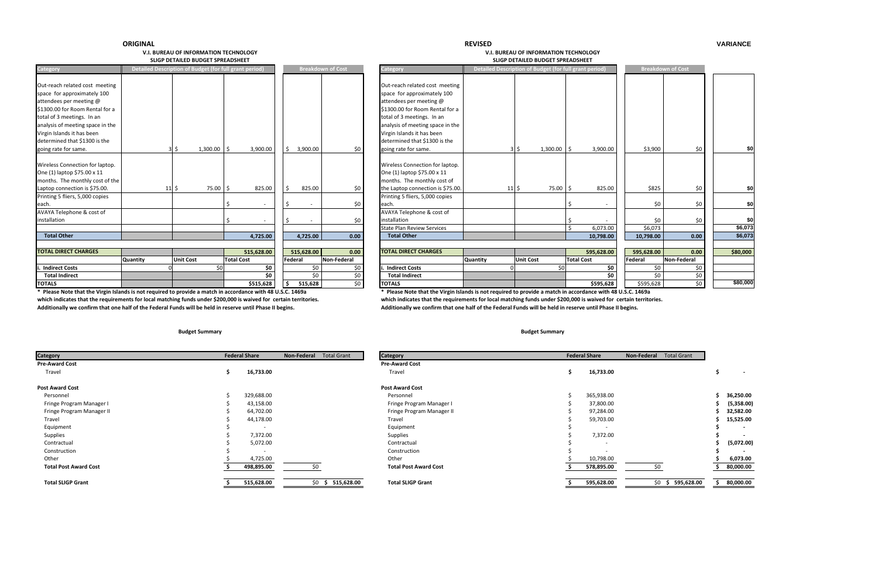#### **REVISED**

#### **VARIANCE**

#### **V.I. BUREAU OF INFORMATIONSLIGP DETAILED**

 **TECHNOLOGY V.I. BUREAU OF INFORMATION TECHNOLOGY BUDGET SPREADSHEET SLIGP DETAILED BUDGET SPREADSHEET**

| Category                                                                                                                                                                                                                                                     |               | Detailed Description of Budget (for full grant period) |                                 |         |                            | <b>Breakdown of Cost</b>   | Category                                                                                             |
|--------------------------------------------------------------------------------------------------------------------------------------------------------------------------------------------------------------------------------------------------------------|---------------|--------------------------------------------------------|---------------------------------|---------|----------------------------|----------------------------|------------------------------------------------------------------------------------------------------|
| Out-reach related cost meeting<br>space for approximately 100<br>attendees per meeting @<br>\$1300.00 for Room Rental for a<br>total of 3 meetings. In an<br>analysis of meeting space in the<br>Virgin Islands it has been<br>determined that \$1300 is the |               | 1,300.00                                               | 3,900.00                        | Ś.      | 3,900.00                   | \$0                        | Out-reac<br>space fo<br>attendee<br>\$1300.00<br>total of 3<br>analysis o<br>Virgin Isla<br>determin |
| going rate for same.<br>Wireless Connection for laptop.<br>One (1) laptop \$75.00 x 11<br>months. The monthly cost of the<br>Laptop connection is \$75.00.                                                                                                   | $11 \,$ \$    | $3 \mid \xi$<br>75.00                                  | \$<br>\$<br>825.00              | \$      | 825.00                     | \$0                        | going rat<br>Wireless<br>One (1) la<br>months.<br>the Lapto                                          |
| Printing 5 fliers, 5,000 copies<br>each.<br>AVAYA Telephone & cost of                                                                                                                                                                                        |               |                                                        | \$                              | \$      |                            | \$0                        | Printing 5<br>each.<br><b>AVAYA T</b>                                                                |
| installation<br><b>Total Other</b>                                                                                                                                                                                                                           |               |                                                        | \$<br>4,725.00                  | \$      | $\overline{a}$<br>4,725.00 | \$0<br>0.00                | installatio<br><b>State Pla</b><br>Total <sup>(</sup>                                                |
| <b>TOTAL DIRECT CHARGES</b>                                                                                                                                                                                                                                  |               | <b>Unit Cost</b>                                       | 515,628.00<br><b>Total Cost</b> | Federal | 515,628.00                 | 0.00<br><b>Non-Federal</b> | <b>TOTAL D</b>                                                                                       |
| i. Indirect Costs<br><b>Total Indirect</b><br><b>TOTALS</b>                                                                                                                                                                                                  | Quantity<br>0 | \$0                                                    | \$0<br>\$0<br>\$515,628         | \$      | \$0<br>\$0<br>515,628      | \$0<br>\$0<br>\$0          | Indired<br>Total I<br><b>TOTALS</b>                                                                  |

**\* Please**which indicates that the requirements for local matching funds under \$200,000 is waived for certain territories. Additionally we confirm that one half of the Federal Funds will be held in reserve until Phase II begins. Additionally we confirm that one half of the Federal Funds will be held in reserve until Phase II begins.

| Category                                                                                                                                                                                                                                                                             |                 | Detailed Description of Budget (for full grant period) |                                 |         |                       | <b>Breakdown of Cost</b> | <b>Category</b>                                                                                                                                                                                                                                                                      |                 | Detailed Description of Budget (for full grant period) |          |                                 |                         | <b>Breakdown of Cost</b> |                |
|--------------------------------------------------------------------------------------------------------------------------------------------------------------------------------------------------------------------------------------------------------------------------------------|-----------------|--------------------------------------------------------|---------------------------------|---------|-----------------------|--------------------------|--------------------------------------------------------------------------------------------------------------------------------------------------------------------------------------------------------------------------------------------------------------------------------------|-----------------|--------------------------------------------------------|----------|---------------------------------|-------------------------|--------------------------|----------------|
| Out-reach related cost meeting<br>space for approximately 100<br>attendees per meeting @<br>\$1300.00 for Room Rental for a<br>total of 3 meetings. In an<br>analysis of meeting space in the<br>Virgin Islands it has been<br>determined that \$1300 is the<br>going rate for same. |                 | $1,300.00$ \ \$                                        | 3,900.00                        |         | 3,900.00              | \$0                      | Out-reach related cost meeting<br>space for approximately 100<br>attendees per meeting @<br>\$1300.00 for Room Rental for a<br>total of 3 meetings. In an<br>analysis of meeting space in the<br>Virgin Islands it has been<br>determined that \$1300 is the<br>going rate for same. |                 | $1,300.00$   \$<br>3 I S                               |          | 3,900.00                        | \$3,900                 | \$0                      |                |
| Wireless Connection for laptop.<br>One (1) laptop \$75.00 x 11<br>months. The monthly cost of the                                                                                                                                                                                    |                 |                                                        |                                 |         |                       |                          | Wireless Connection for laptop.<br>One (1) laptop \$75.00 x 11<br>months. The monthly cost of                                                                                                                                                                                        |                 |                                                        |          |                                 |                         |                          |                |
| Laptop connection is \$75.00.<br>Printing 5 fliers, 5,000 copies<br>each.                                                                                                                                                                                                            | $11 \mid \zeta$ | 75.00 \$                                               | 825.00                          |         | 825.00                | \$0<br>\$0               | the Laptop connection is \$75.00<br>Printing 5 fliers, 5,000 copies<br>each.                                                                                                                                                                                                         |                 | $11 \mid \zeta$                                        | 75.00 \$ | 825.00                          | \$825<br>\$0            | \$0<br>\$0               | \$0<br>\$0     |
| AVAYA Telephone & cost of<br>installation                                                                                                                                                                                                                                            |                 |                                                        |                                 |         |                       | \$0                      | AVAYA Telephone & cost of<br>installation<br><b>State Plan Review Services</b>                                                                                                                                                                                                       |                 |                                                        |          | 6,073.00                        | \$0<br>\$6,073          | \$0                      | \$0<br>\$6,073 |
| <b>Total Other</b>                                                                                                                                                                                                                                                                   |                 |                                                        | 4,725.00                        |         | 4,725.00              | 0.00                     | <b>Total Other</b>                                                                                                                                                                                                                                                                   |                 |                                                        |          | 10,798.00                       | 10,798.00               | 0.00                     | \$6,073        |
| <b>TOTAL DIRECT CHARGES</b>                                                                                                                                                                                                                                                          | Quantity        | <b>Unit Cost</b>                                       | 515,628.00<br><b>Total Cost</b> | Federal | 515,628.00            | 0.00<br>Non-Federal      | <b>TOTAL DIRECT CHARGES</b>                                                                                                                                                                                                                                                          | <b>Quantity</b> | <b>Unit Cost</b>                                       |          | 595,628.00<br><b>Total Cost</b> | 595,628.00<br>Federal   | 0.00<br>Non-Federal      | \$80,000       |
| <b>Indirect Costs</b><br><b>Total Indirect</b><br><b>TOTALS</b>                                                                                                                                                                                                                      |                 |                                                        | \$0<br>\$0<br>\$515,628         |         | \$0<br>\$0<br>515,628 | \$0<br>\$0<br>\$0        | <b>Indirect Costs</b><br><b>Total Indirect</b><br><b>TOTALS</b>                                                                                                                                                                                                                      |                 |                                                        | \$0      | \$0<br>\$0<br>\$595,628         | \$0<br>\$0<br>\$595,628 | \$0<br>\$0<br>\$0        | \$80,000       |
|                                                                                                                                                                                                                                                                                      |                 |                                                        |                                 |         |                       |                          |                                                                                                                                                                                                                                                                                      |                 |                                                        |          |                                 |                         |                          |                |

\* Please Note that the Virgin Islands is not required to provide a match in accordance with 48 U.S.C. 1469a which indicates that the requirements for local matching funds under \$200,000 is waived for certain territories.

| <b>Category</b>              | <b>Federal Share</b> |                          | <b>Total Grant</b><br>Non-Federal | <b>Category</b>              | <b>Federal Share</b>     | Non-Federal<br><b>Total Grant</b> |
|------------------------------|----------------------|--------------------------|-----------------------------------|------------------------------|--------------------------|-----------------------------------|
| <b>Pre-Award Cost</b>        |                      |                          |                                   | <b>Pre-Award Cost</b>        |                          |                                   |
| Travel                       |                      | 16,733.00                |                                   | Travel                       | 16,733.00                |                                   |
| <b>Post Award Cost</b>       |                      |                          |                                   | <b>Post Award Cost</b>       |                          |                                   |
| Personnel                    |                      | 329,688.00               |                                   | Personnel                    | 365,938.00               |                                   |
| Fringe Program Manager I     |                      | 43,158.00                |                                   | Fringe Program Manager I     | 37,800.00                |                                   |
| Fringe Program Manager II    |                      | 64,702.00                |                                   | Fringe Program Manager II    | 97,284.00                |                                   |
| Travel                       |                      | 44,178.00                |                                   | Travel                       | 59,703.00                |                                   |
| Equipment                    |                      | $\overline{\phantom{0}}$ |                                   | Equipment                    | $\overline{\phantom{0}}$ |                                   |
| Supplies                     |                      | 7,372.00                 |                                   | Supplies                     | 7,372.00                 |                                   |
| Contractual                  |                      | 5,072.00                 |                                   | Contractual                  |                          |                                   |
| Construction                 |                      | $\overline{\phantom{a}}$ |                                   | Construction                 |                          |                                   |
| Other                        |                      | 4,725.00                 |                                   | Other                        | 10,798.00                |                                   |
| <b>Total Post Award Cost</b> |                      | 498,895.00               |                                   | <b>Total Post Award Cost</b> | 578,895.00               | S0                                |
| <b>Total SLIGP Grant</b>     |                      | 515,628.00               | 515,628.00<br>\$0 <sub>5</sub>    | <b>Total SLIGP Grant</b>     | 595,628.00               | $$0 \text{ } $595,62$             |

| tegory                       | <b>Federal Share</b>     | Non-Federal<br><b>Total Grant</b> | <b>Category</b>              |   | <b>Federal Share</b> | <b>Non-Federal</b><br><b>Total Grant</b> |            |
|------------------------------|--------------------------|-----------------------------------|------------------------------|---|----------------------|------------------------------------------|------------|
| <b>-Award Cost</b>           |                          |                                   | <b>Pre-Award Cost</b>        |   |                      |                                          |            |
| Travel                       | 16,733.00                |                                   | Travel                       | э | 16,733.00            |                                          | $\sim$     |
| st Award Cost                |                          |                                   | <b>Post Award Cost</b>       |   |                      |                                          |            |
| Personnel                    | 329,688.00               |                                   | Personnel                    |   | 365,938.00           |                                          | 36,250.00  |
| Fringe Program Manager I     | 43,158.00                |                                   | Fringe Program Manager I     |   | 37,800.00            |                                          | (5,358.00) |
| Fringe Program Manager II    | 64,702.00                |                                   | Fringe Program Manager II    |   | 97,284.00            |                                          | 32,582.00  |
| Travel                       | 44,178.00                |                                   | Travel                       |   | 59,703.00            |                                          | 15,525.00  |
| Equipment                    |                          |                                   | Equipment                    |   |                      |                                          |            |
| Supplies                     | 7,372.00                 |                                   | Supplies                     |   | 7,372.00             |                                          |            |
| Contractual                  | 5,072.00                 |                                   | Contractual                  |   |                      |                                          | (5,072.00) |
| Construction                 | $\overline{\phantom{0}}$ |                                   | Construction                 |   |                      |                                          |            |
| Other                        | 4,725.00                 |                                   | Other                        |   | 10,798.00            |                                          | 6,073.00   |
| <b>Total Post Award Cost</b> | 498,895.00               | \$0                               | <b>Total Post Award Cost</b> |   | 578,895.00           |                                          | 80,000.00  |
| Total SLIGP Grant            | 515,628.00               | $$0 \; $515,628.00$               | <b>Total SLIGP Grant</b>     |   | 595,628.00           | $$0 \; $595,628.00$                      | 80,000.00  |

#### **Budget Summary Budget Summary**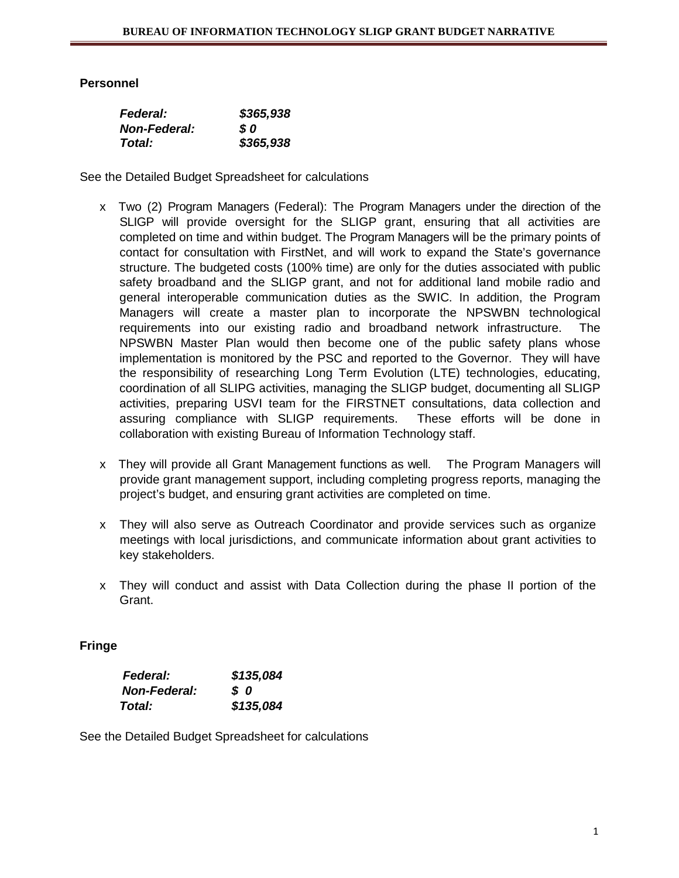## **Personnel**

| <b>Federal:</b>     | \$365,938 |
|---------------------|-----------|
| <b>Non-Federal:</b> | S 0       |
| Total:              | \$365,938 |

See the Detailed Budget Spreadsheet for calculations

- x Two (2) Program Managers (Federal): The Program Managers under the direction of the SLIGP will provide oversight for the SLIGP grant, ensuring that all activities are completed on time and within budget. The Program Managers will be the primary points of contact for consultation with FirstNet, and will work to expand the State's governance structure. The budgeted costs (100% time) are only for the duties associated with public safety broadband and the SLIGP grant, and not for additional land mobile radio and general interoperable communication duties as the SWIC. In addition, the Program Managers will create a master plan to incorporate the NPSWBN technological requirements into our existing radio and broadband network infrastructure. The NPSWBN Master Plan would then become one of the public safety plans whose implementation is monitored by the PSC and reported to the Governor. They will have the responsibility of researching Long Term Evolution (LTE) technologies, educating, coordination of all SLIPG activities, managing the SLIGP budget, documenting all SLIGP activities, preparing USVI team for the FIRSTNET consultations, data collection and assuring compliance with SLIGP requirements. These efforts will be done in collaboration with existing Bureau of Information Technology staff.
- x They will provide all Grant Management functions as well. The Program Managers will provide grant management support, including completing progress reports, managing the project's budget, and ensuring grant activities are completed on time.
- x They will also serve as Outreach Coordinator and provide services such as organize meetings with local jurisdictions, and communicate information about grant activities to key stakeholders.
- x They will conduct and assist with Data Collection during the phase II portion of the Grant.

## **Fringe**

| <b>Federal:</b>     | \$135,084 |
|---------------------|-----------|
| <b>Non-Federal:</b> | SO.       |
| Total:              | \$135,084 |

See the Detailed Budget Spreadsheet for calculations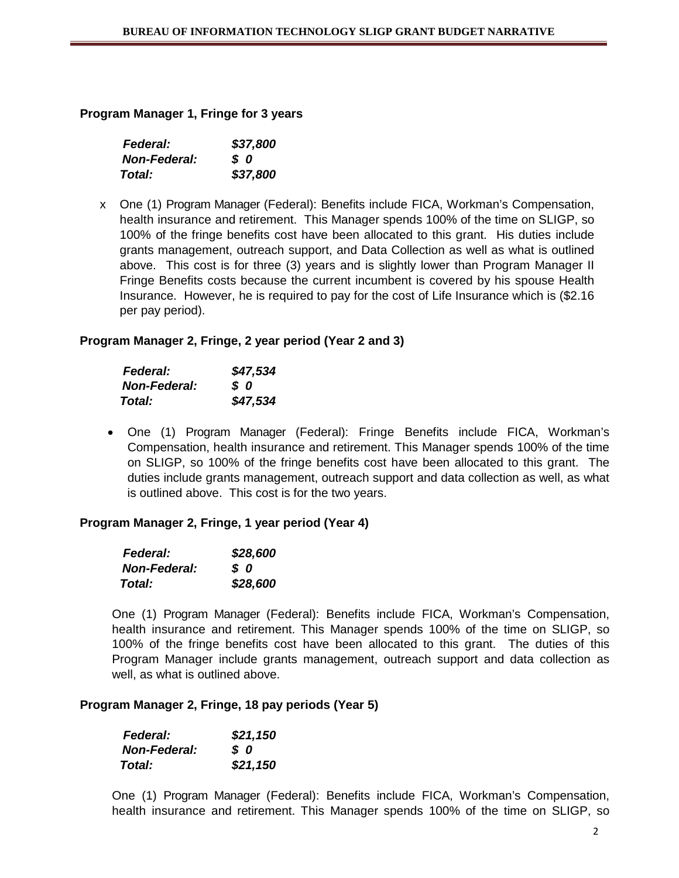## **Program Manager 1, Fringe for 3 years**

| <b>Federal:</b>     | \$37,800 |
|---------------------|----------|
| <b>Non-Federal:</b> | s o      |
| Total:              | \$37,800 |

x One (1) Program Manager (Federal): Benefits include FICA, Workman's Compensation, health insurance and retirement. This Manager spends 100% of the time on SLIGP, so 100% of the fringe benefits cost have been allocated to this grant. His duties include grants management, outreach support, and Data Collection as well as what is outlined above. This cost is for three (3) years and is slightly lower than Program Manager II Fringe Benefits costs because the current incumbent is covered by his spouse Health Insurance. However, he is required to pay for the cost of Life Insurance which is (\$2.16 per pay period).

## **Program Manager 2, Fringe, 2 year period (Year 2 and 3)**

| <b>Federal:</b>     | \$47,534 |
|---------------------|----------|
| <b>Non-Federal:</b> | s o      |
| Total:              | \$47,534 |

• One (1) Program Manager (Federal): Fringe Benefits include FICA, Workman's Compensation, health insurance and retirement. This Manager spends 100% of the time on SLIGP, so 100% of the fringe benefits cost have been allocated to this grant. The duties include grants management, outreach support and data collection as well, as what is outlined above. This cost is for the two years.

## **Program Manager 2, Fringe, 1 year period (Year 4)**

| <b>Federal:</b>     | \$28,600 |
|---------------------|----------|
| <b>Non-Federal:</b> | s o      |
| Total:              | \$28,600 |

One (1) Program Manager (Federal): Benefits include FICA, Workman's Compensation, health insurance and retirement. This Manager spends 100% of the time on SLIGP, so 100% of the fringe benefits cost have been allocated to this grant. The duties of this Program Manager include grants management, outreach support and data collection as well, as what is outlined above.

## **Program Manager 2, Fringe, 18 pay periods (Year 5)**

| <b>Federal:</b>     | \$21,150 |
|---------------------|----------|
| <b>Non-Federal:</b> | SO.      |
| Total:              | \$21,150 |

One (1) Program Manager (Federal): Benefits include FICA, Workman's Compensation, health insurance and retirement. This Manager spends 100% of the time on SLIGP, so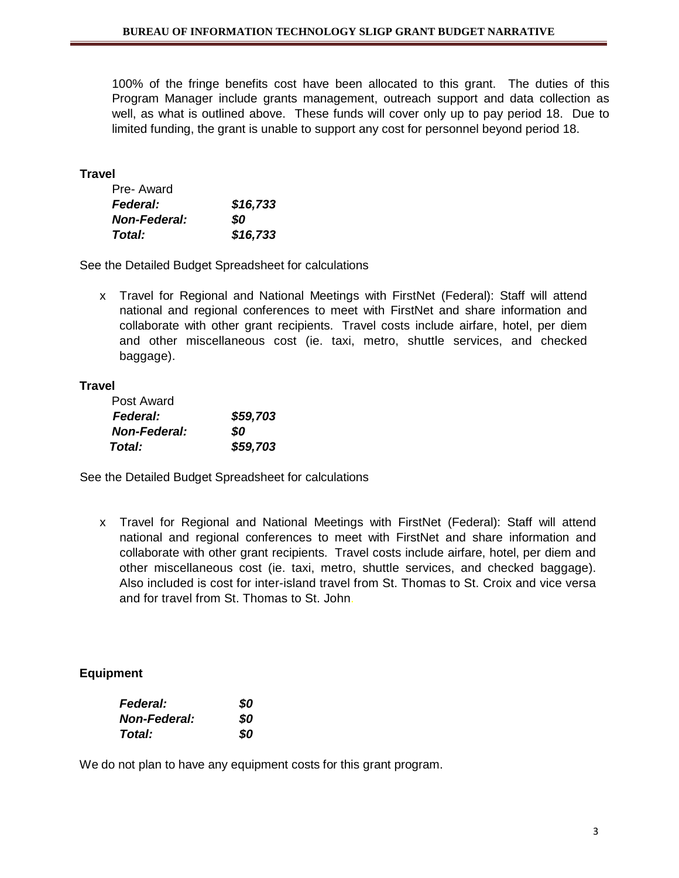100% of the fringe benefits cost have been allocated to this grant. The duties of this Program Manager include grants management, outreach support and data collection as well, as what is outlined above. These funds will cover only up to pay period 18. Due to limited funding, the grant is unable to support any cost for personnel beyond period 18.

#### **Travel**

| Pre-Award           |          |
|---------------------|----------|
| <b>Federal:</b>     | \$16,733 |
| <b>Non-Federal:</b> | SO       |
| Total:              | \$16,733 |

See the Detailed Budget Spreadsheet for calculations

x Travel for Regional and National Meetings with FirstNet (Federal): Staff will attend national and regional conferences to meet with FirstNet and share information and collaborate with other grant recipients. Travel costs include airfare, hotel, per diem and other miscellaneous cost (ie. taxi, metro, shuttle services, and checked baggage).

#### **Travel**

| Post Award          |          |
|---------------------|----------|
| <b>Federal:</b>     | \$59,703 |
| <b>Non-Federal:</b> | SO.      |
| Total:              | \$59,703 |

See the Detailed Budget Spreadsheet for calculations

x Travel for Regional and National Meetings with FirstNet (Federal): Staff will attend national and regional conferences to meet with FirstNet and share information and collaborate with other grant recipients. Travel costs include airfare, hotel, per diem and other miscellaneous cost (ie. taxi, metro, shuttle services, and checked baggage). Also included is cost for inter-island travel from St. Thomas to St. Croix and vice versa and for travel from St. Thomas to St. John.

#### **Equipment**

| <b>Federal:</b>     | 80 |
|---------------------|----|
| <b>Non-Federal:</b> | 80 |
| Total:              | SO |

We do not plan to have any equipment costs for this grant program.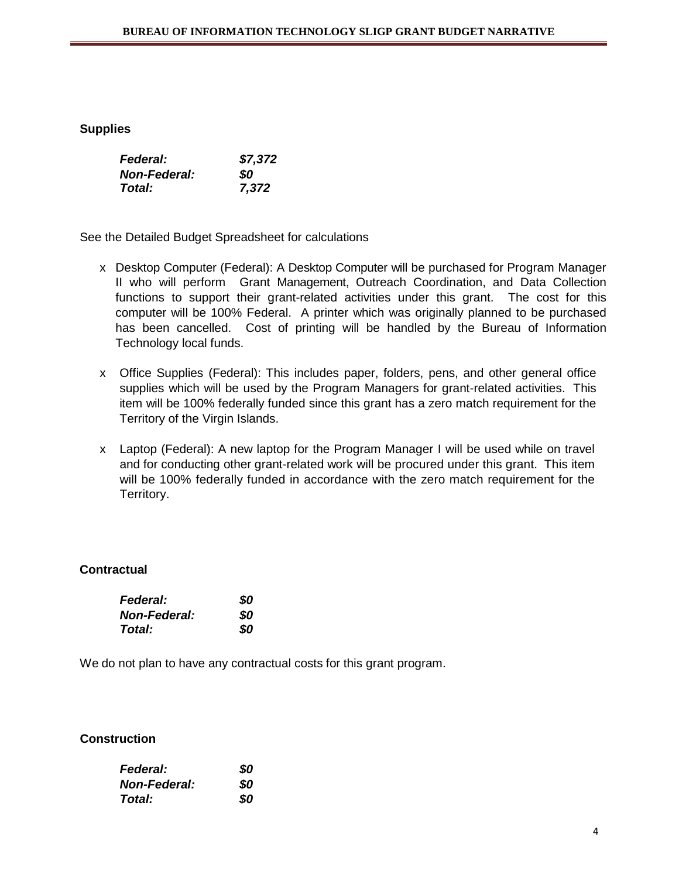#### **Supplies**

| <b>Federal:</b>      | \$7,372 |
|----------------------|---------|
| <b>Non-Federal:</b>  | SO      |
| <i><b>Total:</b></i> | 7,372   |

See the Detailed Budget Spreadsheet for calculations

- x Desktop Computer (Federal): A Desktop Computer will be purchased for Program Manager II who will perform Grant Management, Outreach Coordination, and Data Collection functions to support their grant-related activities under this grant. The cost for this computer will be 100% Federal. A printer which was originally planned to be purchased has been cancelled. Cost of printing will be handled by the Bureau of Information Technology local funds.
- x Office Supplies (Federal): This includes paper, folders, pens, and other general office supplies which will be used by the Program Managers for grant-related activities. This item will be 100% federally funded since this grant has a zero match requirement for the Territory of the Virgin Islands.
- x Laptop (Federal): A new laptop for the Program Manager I will be used while on travel and for conducting other grant-related work will be procured under this grant. This item will be 100% federally funded in accordance with the zero match requirement for the Territory.

## **Contractual**

| <b>Federal:</b>     | 80 |
|---------------------|----|
| <b>Non-Federal:</b> | 80 |
| <b>Total:</b>       | 80 |

We do not plan to have any contractual costs for this grant program.

## **Construction**

| <b>Federal:</b>     | 80 |
|---------------------|----|
| <b>Non-Federal:</b> | 80 |
| Total:              | SO |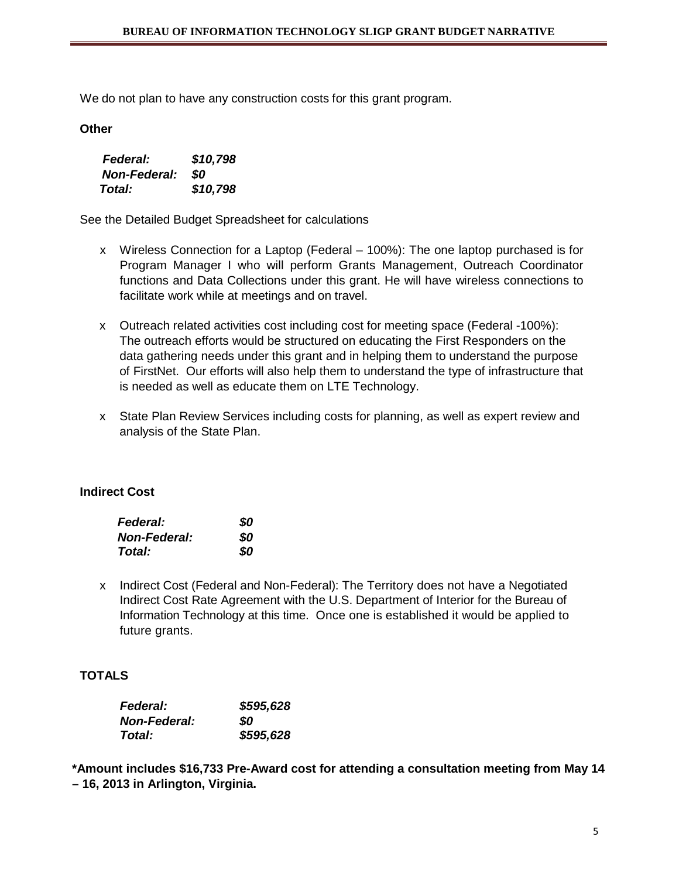We do not plan to have any construction costs for this grant program.

**Other**

| <b>Federal:</b>     | \$10,798 |
|---------------------|----------|
| <b>Non-Federal:</b> | SO.      |
| <b>Total:</b>       | \$10,798 |

See the Detailed Budget Spreadsheet for calculations

- x Wireless Connection for a Laptop (Federal 100%): The one laptop purchased is for Program Manager I who will perform Grants Management, Outreach Coordinator functions and Data Collections under this grant. He will have wireless connections to facilitate work while at meetings and on travel.
- x Outreach related activities cost including cost for meeting space (Federal -100%): The outreach efforts would be structured on educating the First Responders on the data gathering needs under this grant and in helping them to understand the purpose of FirstNet. Our efforts will also help them to understand the type of infrastructure that is needed as well as educate them on LTE Technology.
- x State Plan Review Services including costs for planning, as well as expert review and analysis of the State Plan.

#### **Indirect Cost**

| <b>Federal:</b>     | 80  |
|---------------------|-----|
| <b>Non-Federal:</b> | SO. |
| Total:              | SO. |

x Indirect Cost (Federal and Non-Federal): The Territory does not have a Negotiated Indirect Cost Rate Agreement with the U.S. Department of Interior for the Bureau of Information Technology at this time. Once one is established it would be applied to future grants.

## **TOTALS**

| <b>Federal:</b>     | \$595,628 |
|---------------------|-----------|
| <b>Non-Federal:</b> | SO        |
| Total:              | \$595,628 |

**\*Amount includes \$16,733 Pre-Award cost for attending a consultation meeting from May 14 – 16, 2013 in Arlington, Virginia.**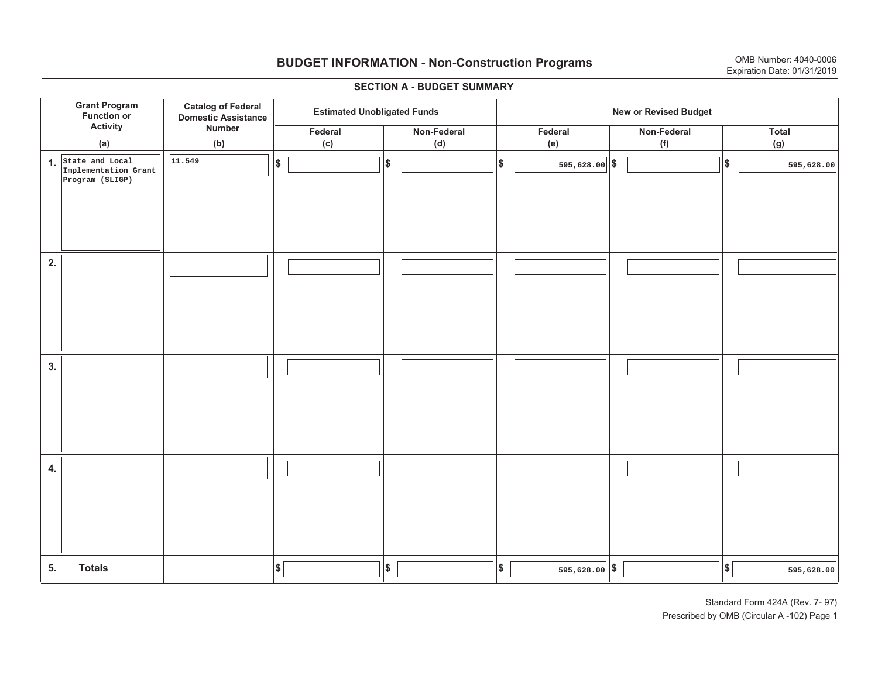# **BUDGET INFORMATION - Non-Construction Programs** OMB Number: 4040-0006 **Expiration Date: 01/31/2019**

**\$ Grant Program Function or Activity (a) Catalog of Federal Domestic Assistance Number (b) Estimated Unobligated Funds New or Revised Budget Federal(c) Non-Federal(d) Federal(e) Non-Federal (f) Total (g) 5. Totals4. 3. 2. 1.State and Local \$\$\$\$**  $|\$$  **\$**  $\left| \frac{\$}{\$} \right|$  **\$**  $\left| \frac{\$}{\$} \right|$  **\$**  $\left| \frac{\$}{\$} \right|$ **Implementation Grant Program (SLIGP) 11.549** $|\$$  595,628.00  $|\$$  595,628.00  $|\$$  595,628.00 **\$ 595,628.00 595,628.00** I I I I I I I I I I I I I I I I I I I I I I I I I I I I I I I I I I I I I I I I I I I I  $||\$$   $||\$$   $|$  595,628.00 $||\$$   $||\$$ 

#### **SECTION A - BUDGET SUMMARY**

Standard Form 424A (Rev. 7- 97) Prescribed by OMB (Circular A -102) Page 1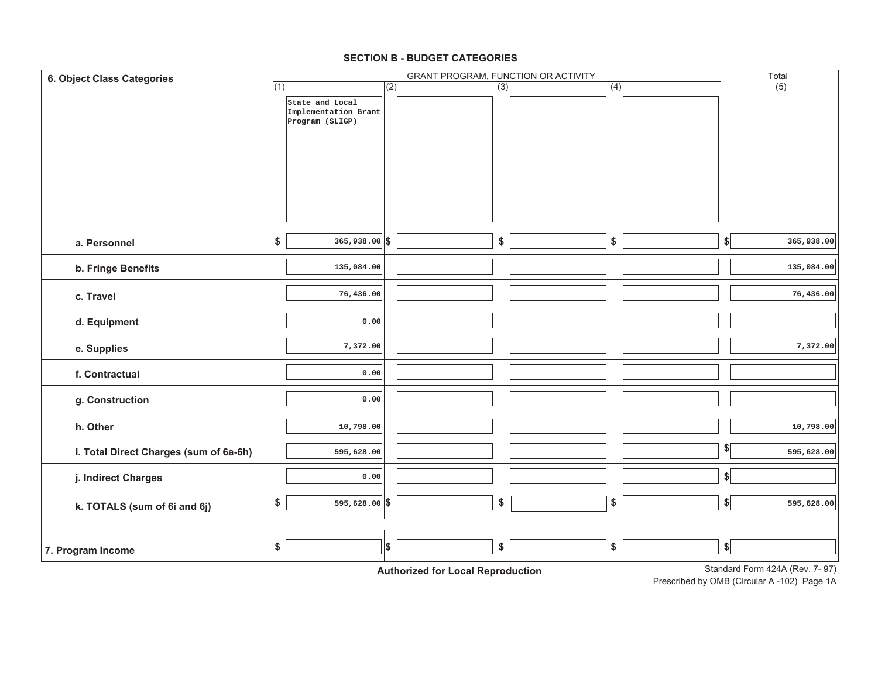| 6. Object Class Categories             |     |                                                            |     |                  | GRANT PROGRAM, FUNCTION OR ACTIVITY |               |                              | Total      |
|----------------------------------------|-----|------------------------------------------------------------|-----|------------------|-------------------------------------|---------------|------------------------------|------------|
|                                        | (1) |                                                            | (2) | $\overline{(3)}$ |                                     | (4)           |                              | (5)        |
|                                        |     | State and Local<br>Implementation Grant<br>Program (SLIGP) |     |                  |                                     |               |                              |            |
| a. Personnel                           | \$  | $365,938.00$ \$                                            |     | \$               |                                     | $\frac{1}{2}$ | $\left  \right\rangle$       | 365,938.00 |
|                                        |     |                                                            |     |                  |                                     |               |                              |            |
| b. Fringe Benefits                     |     | 135,084.00                                                 |     |                  |                                     |               |                              | 135,084.00 |
| c. Travel                              |     | 76,436.00                                                  |     |                  |                                     |               |                              | 76,436.00  |
| d. Equipment                           |     | 0.00                                                       |     |                  |                                     |               |                              |            |
| e. Supplies                            |     | 7,372.00                                                   |     |                  |                                     |               |                              | 7,372.00   |
| f. Contractual                         |     | 0.00                                                       |     |                  |                                     |               |                              |            |
| g. Construction                        |     | 0.00                                                       |     |                  |                                     |               |                              |            |
| h. Other                               |     | 10,798.00                                                  |     |                  |                                     |               |                              | 10,798.00  |
| i. Total Direct Charges (sum of 6a-6h) |     | 595,628.00                                                 |     |                  |                                     |               | $\frac{1}{2}$                | 595,628.00 |
| j. Indirect Charges                    |     | 0.00                                                       |     |                  |                                     |               | $\left  \frac{1}{2} \right $ |            |
| k. TOTALS (sum of 6i and 6j)           | \$  | 595,628.00 \$                                              |     | \$               |                                     | \$            | $\left  \right\rangle$       | 595,628.00 |
|                                        |     |                                                            |     |                  |                                     |               |                              |            |
| 7. Program Income                      | \$  |                                                            | \$  | \$               |                                     | \$            | $\left  \mathsf{s} \right $  |            |

#### **SECTION B - BUDGET CATEGORIES**

**Authorized for Local Reproduction**

Standard Form 424A (Rev. 7- 97)

Prescribed by OMB (Circular A -102) Page 1A